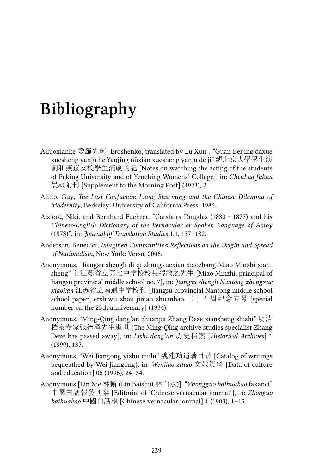## **Bibliography**

- Ailuoxianke 愛羅先珂 [Eroshenko; translated by Lu Xun], "Guan Beijing daxue xuesheng yanju he Yanjing nüxiao xuesheng yanju de ji" 觀北京大學學生演 劇和燕京女校學生演劇的記 [Notes on watching the acting of the students of Peking University and of Yenching Womens' College], in: *Chenbao fukan* 晨報附刊 [Supplement to the Morning Post] (1923), 2.
- Alitto, Guy, *The Last Confucian: Liang Shu-ming and the Chinese Dilemma of Modernity*, Berkeley: University of California Press, 1986.
- Alsford, Niki, and Bernhard Fuehrer, "Carstairs Douglas (1830–1877) and his *Chinese-English Dictionary of the Vernacular or Spoken Language of Amoy* (1873)", in: *Journal of Translation Studies* 1.1, 137–182.
- Anderson, Benedict, *Imagined Communities: Reflections on the Origin and Spread of Nationalism*, New York: Verso, 2006.
- Anonymous, "Jiangsu shengli di qi zhongxuexiao xiaozhang Miao Minzhi xiansheng" 前江苏省立第七中学校校長繆敏之先生 [Miao Minzhi, principal of Jiangsu provincial middle school no. 7], in: *Jiangsu shengli Nantong zhongxue xiaokan* 江苏省立南通中学校刊 [Jiangsu provincial Nantong middle school school paper] ershiwu zhou jinian zhuanhao 二十五周纪念专号 [special number on the 25th anniversary] (1934).
- Anonymous, "Ming-Qing dang'an zhuanjia Zhang Deze xiansheng shishi" 明清 档案专家张德泽先生逝世 [The Ming-Qing archive studies specialist Zhang Deze has passed away], in: *Lishi dang'an* 历史档案 [*Historical Archives*] 1 (1999), 137.
- Anonymous, "Wei Jiangong yizhu mulu" 魏建功遗著目录 [Catalog of writings bequeathed by Wei Jiangong], in: *Wenjiao ziliao* 文教资料 [Data of culture and education] 05 (1996), 24–34.
- Anonymous [Lin Xie 林獬 (Lin Baishui 林白水)], "*Zhongguo baihuabao* fakanci" 中國白話報發刊辭 [Editorial of 'Chinese vernacular journal'], in: *Zhonguo baihuabao* 中國白話報 [Chinese vernacular journal] 1 (1903), 1–15.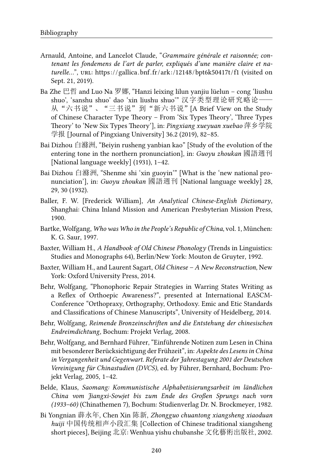- Arnauld, Antoine, and Lancelot Claude, "*Grammaire générale et raisonnée; contenant les fondemens de l'art de parler, expliqués d'une manière claire et naturelle...*", URL: https://gallica.bnf.fr/ark:/12148/bpt6k50417t/f1 (visited on Sept. 21, 2019).
- Ba Zhe 巴哲 and Luo Na 罗娜, "Hanzi leixing lilun yanjiu lüelun cong 'liushu shuo', 'sanshu shuo' dao 'xin liushu shuo'" 汉字类型理论研究略论—— 从"六书说"、"三书说"到"新六书说"[A Brief View on the Study of Chinese Character Type Theory – From 'Six Types Theory', 'Three Types Theory' to 'New Six Types Theory'], in: *Pingxiang xueyuan xuebao* 萍乡学院 学报 [Journal of Pingxiang University] 36.2 (2019), 82–85.
- Bai Dizhou 白滌洲, "Beiyin rusheng yanbian kao" [Study of the evolution of the entering tone in the northern pronunciation], in: *Guoyu zhoukan* 國語週刊 [National language weekly] (1931), 1–42.
- Bai Dizhou 白滌洲, "Shenme shi 'xin guoyin'" [What is the 'new national pronunciation'], in: *Guoyu zhoukan* 國語週刊 [National language weekly] 28, 29, 30 (1932).
- Baller, F. W. [Frederick William], *An Analytical Chinese-English Dictionary*, Shanghai: China Inland Mission and American Presbyterian Mission Press, 1900.
- Bartke, Wolfgang, *Who was Who in the People's Republic of China*, vol. 1, München: K. G. Saur, 1997.
- Baxter, William H., *A Handbook of Old Chinese Phonology* (Trends in Linguistics: Studies and Monographs 64), Berlin/New York: Mouton de Gruyter, 1992.
- Baxter, William H., and Laurent Sagart, *Old Chinese A New Reconstruction*, New York: Oxford University Press, 2014.
- Behr, Wolfgang, "Phonophoric Repair Strategies in Warring States Writing as a Reflex of Orthoepic Awareness?", presented at International EASCM-Conference "Orthopraxy, Orthography, Orthodoxy. Emic and Etic Standards and Classifications of Chinese Manuscripts", University of Heidelberg, 2014.
- Behr, Wolfgang, *Reimende Bronzeinschriften und die Entstehung der chinesischen Endreimdichtung*, Bochum: Projekt Verlag, 2008.
- Behr, Wolfgang, and Bernhard Führer, "Einführende Notizen zum Lesen in China mit besonderer Berücksichtigung der Frühzeit", in: *Aspekte des Lesens in China in Vergangenheit und Gegenwart. Referate der Jahrestagung 2001 der Deutschen Vereinigung für Chinastudien (DVCS)*, ed. by Führer, Bernhard, Bochum: Projekt Verlag, 2005, 1–42.
- Belde, Klaus, *Saomang: Kommunistische Alphabetisierungsarbeit im ländlichen China vom Jiangxi-Sowjet bis zum Ende des Großen Sprungs nach vorn (1933–60)* (Chinathemen 7), Bochum: Studienverlag Dr. N. Brockmeyer, 1982.
- Bi Yongnian 薜永年, Chen Xin 陈新, *Zhongguo chuantong xiangsheng xiaoduan huiji* 中国传统相声小段汇集 [Collection of Chinese traditional xiangsheng short pieces], Beijing 北京: Wenhua yishu chubanshe 文化藝術出版社, 2002.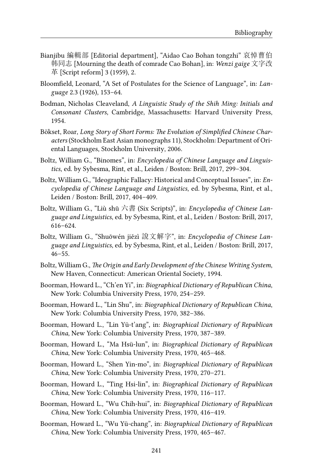- Bianjibu 編輯部 [Editorial department], "Aidao Cao Bohan tongzhi" 哀悼曹伯 韩同志 [Mourning the death of comrade Cao Bohan], in: *Wenzi gaige* 文字改 革 [Script reform] 3 (1959), 2.
- Bloomfield, Leonard, "A Set of Postulates for the Science of Language", in: *Language* 2.3 (1926), 153–64.
- Bodman, Nicholas Cleaveland, *A Linguistic Study of the Shih Ming: Initials and Consonant Clusters*, Cambridge, Massachusetts: Harvard University Press, 1954.
- Bökset, Roar, *Long Story of Short Forms: The Evolution of Simplified Chinese Characters* (Stockholm East Asian monographs 11), Stockholm: Department of Oriental Languages, Stockholm University, 2006.
- Boltz, William G., "Binomes", in: *Encyclopedia of Chinese Language and Linguistics*, ed. by Sybesma, Rint, et al., Leiden / Boston: Brill, 2017, 299–304.
- Boltz, William G., "Ideographic Fallacy: Historical and Conceptual Issues", in: *Encyclopedia of Chinese Language and Linguistics*, ed. by Sybesma, Rint, et al., Leiden / Boston: Brill, 2017, 404–409.
- Boltz, William G., "Liù shū 六書 (Six Scripts)", in: *Encyclopedia of Chinese Language and Linguistics*, ed. by Sybesma, Rint, et al., Leiden / Boston: Brill, 2017, 616–624.
- Boltz, William G., "Shuōwén jiězì 說文解字", in: *Encyclopedia of Chinese Language and Linguistics*, ed. by Sybesma, Rint, et al., Leiden / Boston: Brill, 2017,  $46 - 55$ .
- Boltz, William G., *The Origin and Early Development of the Chinese Writing System*, New Haven, Connecticut: American Oriental Society, 1994.
- Boorman, Howard L., "Ch'en Yi", in: *Biographical Dictionary of Republican China*, New York: Columbia University Press, 1970, 254–259.
- Boorman, Howard L., "Lin Shu", in: *Biographical Dictionary of Republican China*, New York: Columbia University Press, 1970, 382–386.
- Boorman, Howard L., "Lin Yü-t'ang", in: *Biographical Dictionary of Republican China*, New York: Columbia University Press, 1970, 387–389.
- Boorman, Howard L., "Ma Hsü-lun", in: *Biographical Dictionary of Republican China*, New York: Columbia University Press, 1970, 465–468.
- Boorman, Howard L., "Shen Yin-mo", in: *Biographical Dictionary of Republican China*, New York: Columbia University Press, 1970, 270–271.
- Boorman, Howard L., "Ting Hsi-lin", in: *Biographical Dictionary of Republican China*, New York: Columbia University Press, 1970, 116–117.
- Boorman, Howard L., "Wu Chih-hui", in: *Biographical Dictionary of Republican China*, New York: Columbia University Press, 1970, 416–419.
- Boorman, Howard L., "Wu Yü-chang", in: *Biographical Dictionary of Republican China*, New York: Columbia University Press, 1970, 465–467.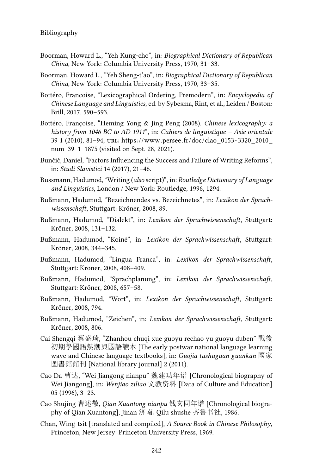- Boorman, Howard L., "Yeh Kung-cho", in: *Biographical Dictionary of Republican China*, New York: Columbia University Press, 1970, 31–33.
- Boorman, Howard L., "Yeh Sheng-t'ao", in: *Biographical Dictionary of Republican China*, New York: Columbia University Press, 1970, 33–35.
- Bottéro, Francoise, "Lexicographical Ordering, Premodern", in: *Encyclopedia of Chinese Language and Linguistics*, ed. by Sybesma, Rint, et al., Leiden / Boston: Brill, 2017, 590–593.
- Bottéro, Françoise, "Heming Yong & Jing Peng (2008). *Chinese lexicography: a history from 1046 BC to AD 1911*", in: *Cahiers de linguistique – Asie orientale* 39 1 (2010), 81–94, url: [https://www.persee.fr/doc/clao\\_0153-3320\\_2010\\_](https://www.persee.fr/doc/clao_0153-3320_2010_num_39_1_1875) [num\\_39\\_1\\_1875](https://www.persee.fr/doc/clao_0153-3320_2010_num_39_1_1875) (visited on Sept. 28, 2021).
- Bunčić, Daniel, "Factors Influencing the Success and Failure of Writing Reforms", in: *Studi Slavistici* 14 (2017), 21–46.
- Bussmann, Hadumod, "Writing (*also* script)", in: *Routledge Dictionary of Language and Linguistics*, London / New York: Routledge, 1996, 1294.
- Bußmann, Hadumod, "Bezeichnendes vs. Bezeichnetes", in: *Lexikon der Sprachwissenschaft*, Stuttgart: Kröner, 2008, 89.
- Bußmann, Hadumod, "Dialekt", in: *Lexikon der Sprachwissenschaft*, Stuttgart: Kröner, 2008, 131–132.
- Bußmann, Hadumod, "Koiné", in: *Lexikon der Sprachwissenschaft*, Stuttgart: Kröner, 2008, 344–345.
- Bußmann, Hadumod, "Lingua Franca", in: *Lexikon der Sprachwissenschaft*, Stuttgart: Kröner, 2008, 408–409.
- Bußmann, Hadumod, "Sprachplanung", in: *Lexikon der Sprachwissenschaft*, Stuttgart: Kröner, 2008, 657–58.
- Bußmann, Hadumod, "Wort", in: *Lexikon der Sprachwissenschaft*, Stuttgart: Kröner, 2008, 794.
- Bußmann, Hadumod, "Zeichen", in: *Lexikon der Sprachwissenschaft*, Stuttgart: Kröner, 2008, 806.
- Cai Shengqi 蔡盛琦, "Zhanhou chuqi xue guoyu rechao yu guoyu duben" 戰後 初期學國語熱潮與國語讀本 [The early postwar national language learning wave and Chinese language textbooks], in: *Guojia tushuguan guankan* 國家 圖書館館刊 [National library journal] 2 (2011).
- Cao Da 曹达, "Wei Jiangong nianpu" 魏建功年谱 [Chronological biography of Wei Jiangong], in: *Wenjiao ziliao* 文教资料 [Data of Culture and Education] 05 (1996), 3–23.
- Cao Shujing 曹述敬, *Qian Xuantong nianpu* 钱玄同年谱 [Chronological biography of Qian Xuantong], Jinan 济南: Qilu shushe 齐鲁书社, 1986.
- Chan, Wing-tsit [translated and compiled], *A Source Book in Chinese Philosophy*, Princeton, New Jersey: Princeton University Press, 1969.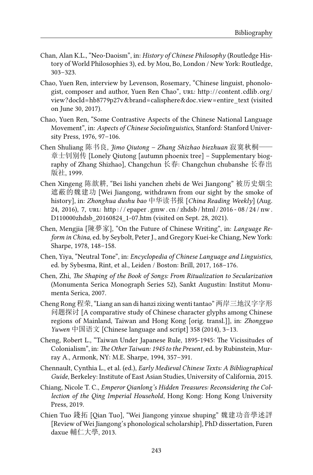- Chan, Alan K.L., "Neo-Daoism", in: *History of Chinese Philosophy* (Routledge History of World Philosophies 3), ed. by Mou, Bo, London / New York: Routledge, 303–323.
- Chao, Yuen Ren, interview by Levenson, Rosemary, "Chinese linguist, phonologist, composer and author, Yuen Ren Chao", URL: http://content.cdlib.org/ [view?docId=hb8779p27v&brand=calisphere&doc.view=entire\\_text](http://content.cdlib.org/view?docId=hb8779p27v&brand=calisphere&doc.view=entire_text) (visited on June 30, 2017).
- Chao, Yuen Ren, "Some Contrastive Aspects of the Chinese National Language Movement", in: *Aspects of Chinese Sociolinguistics*, Stanford: Stanford University Press, 1976, 97–106.
- Chen Shuliang 陈书良, *Jimo Qiutong Zhang Shizhao biezhuan* 寂寞秋桐—— 章士钊别传 [Lonely Qiutong [autumn phoenix tree] – Supplementary biography of Zhang Shizhao], Changchun 长春: Changchun chubanshe 长春出 版社, 1999.
- Chen Xingeng 陈歆耕, "Bei lishi yanchen zhebi de Wei Jiangong" 被历史烟尘 遮蔽的魏建功 [Wei Jiangong, withdrawn from our sight by the smoke of history], in: *Zhonghua dushu bao* 中华读书报 [*China Reading Weekly*] (Aug. 24, 2016), 7, URL: http://epaper.gmw.cn/zhdsb/html/2016-08/24/nw. [D110000zhdsb\\_20160824\\_1-07.htm](http://epaper.gmw.cn/zhdsb/html/2016-08/24/nw.D110000zhdsb_20160824_1-07.htm) (visited on Sept. 28, 2021).
- Chen, Mengjia [陳夢家], "On the Future of Chinese Writing", in: *Language Reform in China*, ed. by Seybolt, Peter J., and Gregory Kuei-ke Chiang, New York: Sharpe, 1978, 148–158.
- Chen, Yiya, "Neutral Tone", in: *Encyclopedia of Chinese Language and Linguistics*, ed. by Sybesma, Rint, et al., Leiden / Boston: Brill, 2017, 168–176.
- Chen, Zhi, *The Shaping of the Book of Songs: From Ritualization to Secularization* (Monumenta Serica Monograph Series 52), Sankt Augustin: Institut Monumenta Serica, 2007.
- Cheng Rong 程荣, "Liang an san di hanzi zixing wenti tantao" 两岸三地汉字字形 问题探讨 [A comparative study of Chinese character glyphs among Chinese regions of Mainland, Taiwan and Hong Kong [orig. transl.]], in: *Zhongguo Yuwen* 中国语文 [Chinese language and script] 358 (2014), 3–13.
- Cheng, Robert L., "Taiwan Under Japanese Rule, 1895-1945: The Vicissitudes of Colonialism", in: *The Other Taiwan: 1945 to the Present*, ed. by Rubinstein, Murray A., Armonk, NY: M.E. Sharpe, 1994, 357–391.
- Chennault, Cynthia L., et al. (ed.), *Early Medieval Chinese Texts: A Bibliographical Guide*, Berkeley: Institute of East Asian Studies, University of California, 2015.
- Chiang, Nicole T. C., *Emperor Qianlong's Hidden Treasures: Reconsidering the Collection of the Qing Imperial Household*, Hong Kong: Hong Kong University Press, 2019.
- Chien Tuo 錢拓 [Qian Tuo], "Wei Jiangong yinxue shuping" 魏建功音學述評 [Review of Wei Jiangong's phonological scholarship], PhD dissertation, Furen daxue 輔仁大學, 2013.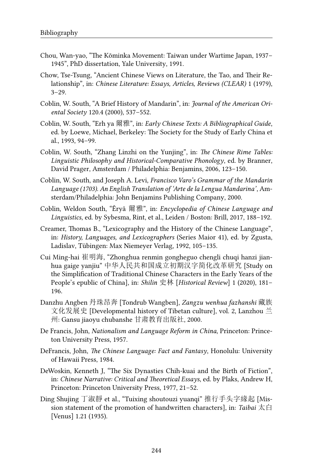- Chou, Wan-yao, "The Kōminka Movement: Taiwan under Wartime Japan, 1937– 1945", PhD dissertation, Yale University, 1991.
- Chow, Tse-Tsung, "Ancient Chinese Views on Literature, the Tao, and Their Relationship", in: *Chinese Literature: Essays, Articles, Reviews (CLEAR)* 1 (1979), 3–29.
- Coblin, W. South, "A Brief History of Mandarin", in: *Journal of the American Oriental Society* 120.4 (2000), 537–552.
- Coblin, W. South, "Erh ya 爾雅", in: *Early Chinese Texts: A Bibliographical Guide*, ed. by Loewe, Michael, Berkeley: The Society for the Study of Early China et al., 1993, 94–99.
- Coblin, W. South, "Zhang Linzhi on the Yunjing", in: *The Chinese Rime Tables: Linguistic Philosophy and Historical-Comparative Phonology*, ed. by Branner, David Prager, Amsterdam / Philadelphia: Benjamins, 2006, 123–150.
- Coblin, W. South, and Joseph A. Levi, *Francisco Varo's Grammar of the Mandarin Language (1703). An English Translation of 'Arte de la Lengua Mandarina'*, Amsterdam/Philadelphia: John Benjamins Publishing Company, 2000.
- Coblin, Weldon South, "Ěryǎ 爾雅", in: *Encyclopedia of Chinese Language and Linguistics*, ed. by Sybesma, Rint, et al., Leiden / Boston: Brill, 2017, 188–192.
- Creamer, Thomas B., "Lexicography and the History of the Chinese Language", in: *History, Languages, and Lexicographers* (Series Maior 41), ed. by Zgusta, Ladislav, Tübingen: Max Niemeyer Verlag, 1992, 105–135.
- Cui Ming-hai 崔明海, "Zhonghua renmin gongheguo chengli chuqi hanzi jianhua gaige yanjiu" 中华人民共和国成立初期汉字简化改革研究 [Study on the Simplification of Traditional Chinese Characters in the Early Years of the People's epublic of China], in: *Shilin* 史林 [*Historical Review*] 1 (2020), 181– 196.
- Danzhu Angben 丹珠昂奔 [Tondrub Wangben], *Zangzu wenhua fazhanshi* 藏族 文化发展史 [Developmental history of Tibetan culture], vol. 2, Lanzhou 兰 州: Gansu jiaoyu chubanshe 甘肃教育出版社, 2000.
- De Francis, John, *Nationalism and Language Reform in China*, Princeton: Princeton University Press, 1957.
- DeFrancis, John, *The Chinese Language: Fact and Fantasy*, Honolulu: University of Hawaii Press, 1984.
- DeWoskin, Kenneth J, "The Six Dynasties Chih-kuai and the Birth of Fiction", in: *Chinese Narrative: Critical and Theoretical Essays*, ed. by Plaks, Andrew H, Princeton: Princeton University Press, 1977, 21–52.
- Ding Shujing 丁淑靜 et al., "Tuixing shoutouzi yuanqi" 推行手头字緣起 [Mission statement of the promotion of handwritten characters], in: *Taibai* 太白 [Venus] 1.21 (1935).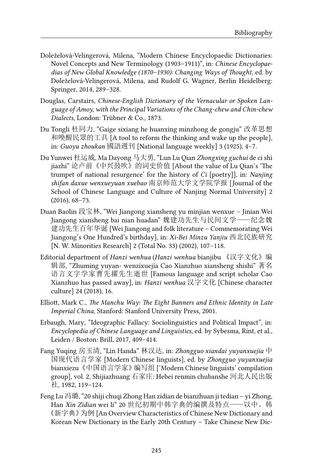- Doleželová-Velingerová, Milena, "Modern Chinese Encyclopaedic Dictionaries: Novel Concepts and New Terminology (1903–1911)", in: *Chinese Encyclopaedias of New Global Knowledge (1870–1930): Changing Ways of Thought*, ed. by Doleželová-Velingerová, Milena, and Rudolf G. Wagner, Berlin Heidelberg: Springer, 2014, 289–328.
- Douglas, Carstairs, *Chinese-English Dictionary of the Vernacular or Spoken Language of Amoy, with the Principal Variations of the Chang-chew and Chin-chew Dialects*, London: Trübner & Co., 1873.
- Du Tongli 杜同力, "Gaige sixiang he huanxing minzhong de gongju" 改革思想 和喚醒民眾的工具 [A tool to reform the thinking and wake up the people], in: *Guoyu zhoukan* 國語週刊 [National language weekly] 3 (1925), 4–7.
- Du Yunwei 杜运威, Ma Dayong 马大勇, "Lun Lu Qian *Zhongxing guchui* de ci shi jiazhi" 论卢前《中兴鼓吹》的词史价值 [About the value of Lu Qian's 'The trumpet of national resurgence' for the history of *Ci* [poetry]], in: *Nanjing shifan daxue wenxueyuan xuebao* 南京师范大学文学院学报 [Journal of the School of Chinese Language and Culture of Nanjing Normal University] 2 (2016), 68–73.
- Duan Baolin 段宝林, "Wei Jiangong xiansheng yu minjian wenxue Jinian Wei Jiangong xiansheng bai nian huadan" 魏建功先生与民间文学——纪念魏 建功先生百年华诞 [Wei Jiangong and folk literature – Commemorating Wei Jiangong's One Hundred's birthday], in: *Xi-Bei Minzu Yanjiu* 西北民族研究 [N. W. Minorities Research] 2 (Total No. 33) (2002), 107–118.
- Editorial department of *Hanzi wenhua* (*Hanzi wenhua* bianjibu 《汉字文化》编 辑部, "Zhuming yuyan- wenzixuejia Cao Xianzhuo xiansheng shishi" 著名 语言文字学家曹先擢先生逝世 [Famous language and script scholar Cao Xianzhuo has passed away], in: *Hanzi wenhua* 汉字文化 [Chinese character culture] 24 (2018), 16.
- Elliott, Mark C., *The Manchu Way: The Eight Banners and Ethnic Identity in Late Imperial China*, Stanford: Stanford University Press, 2001.
- Erbaugh, Mary, "Ideographic Fallacy: Sociolinguistics and Political Impact", in: *Encyclopedia of Chinese Language and Linguistics*, ed. by Sybesma, Rint, et al., Leiden / Boston: Brill, 2017, 409–414.
- Fang Yuqing 房玉清, "Lin Handa" 林汉达, in: *Zhongguo xiandai yuyanxuejia* 中 国现代语言学家 [Modern Chinese linguists], ed. by *Zhongguo yuyanxuejia* bianxiezu《中国语言学家》编写组 ['Modern Chinese linguists' compilation group], vol. 2, Shijiazhuang 石家庄: Hebei renmin chubanshe 河北人民出版 社, 1982, 119–124.
- Feng Lu 冯璐, "20 shiji chuqi Zhong Han zidian de bianzhuan ji tedian yi Zhong, Han *Xin Zidian* wei li" 20 世纪初期中韩字典的编撰及特点——以中、韩 《新字典》为例 [An Overview Characteristics of Chinese New Dictionary and Korean New Dictionary in the Early 20th Century – Take Chinese New Dic-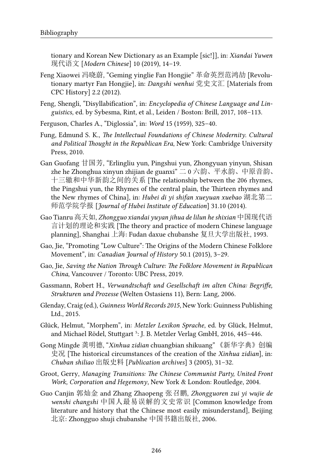tionary and Korean New Dictionary as an Example [sic!]], in: *Xiandai Yuwen* 现代语文 [*Modern Chinese*] 10 (2019), 14–19.

- Feng Xiaowei 冯晓蔚, "Geming yinglie Fan Hongjie" 革命英烈范鸿劼 [Revolutionary martyr Fan Hongjie], in: *Dangshi wenhui* 党史文汇 [Materials from CPC History] 2.2 (2012).
- Feng, Shengli, "Disyllabification", in: *Encyclopedia of Chinese Language and Linguistics*, ed. by Sybesma, Rint, et al., Leiden / Boston: Brill, 2017, 108–113.
- Ferguson, Charles A., "Diglossia", in: *Word* 15 (1959), 325–40.
- Fung, Edmund S. K., *The Intellectual Foundations of Chinese Modernity. Cultural and Political Thought in the Republican Era*, New York: Cambridge University Press, 2010.
- Gan Guofang 甘国芳, "Erlingliu yun, Pingshui yun, Zhongyuan yinyun, Shisan zhe he Zhonghua xinyun zhijian de guanxi" 二 0 六韵、平水韵、中原音韵、 十三辙和中华新韵之间的关系 [The relationship between the 206 rhymes, the Pingshui yun, the Rhymes of the central plain, the Thirteen rhymes and the New rhymes of China], in: *Hubei di yi shifan xueyuan xuebao* 湖北第二 师范学院学报 [*Journal of Hubei Institute of Education*] 31.10 (2014).
- Gao Tianru 高天如, *Zhongguo xiandai yuyan jihua de lilun he shixian* 中国现代语 言计划的理论和实践 [The theory and practice of modern Chinese language planning], Shanghai 上海: Fudan daxue chubanshe 复旦大学出版社, 1993.
- Gao, Jie, "Promoting "Low Culture": The Origins of the Modern Chinese Folklore Movement", in: *Canadian Journal of History* 50.1 (2015), 3–29.
- Gao, Jie, *Saving the Nation Through Culture: The Folklore Movement in Republican China*, Vancouver / Toronto: UBC Press, 2019.
- Gassmann, Robert H., *Verwandtschaft und Gesellschaft im alten China: Begriffe, Strukturen und Prozesse* (Welten Ostasiens 11), Bern: Lang, 2006.
- Glenday, Craig (ed.), *Guinness World Records 2015*, New York: Guinness Publishing Ltd., 2015.
- Glück, Helmut, "Morphem", in: *Metzler Lexikon Sprache*, ed. by Glück, Helmut, and Michael Rödel, Stuttgart<sup>5</sup>: J. B. Metzler Verlag GmbH, 2016, 445-446.
- Gong Mingde 龚明德, "*Xinhua zidian* chuangbian shikuang"《新华字典》创编 史况 [The historical circumstances of the creation of the *Xinhua zidian*], in: *Chuban shiliao* 出版史料 [*Publication archives*] 3 (2005), 31–32.
- Groot, Gerry, *Managing Transitions: The Chinese Communist Party, United Front Work, Corporation and Hegemony*, New York & London: Routledge, 2004.
- Guo Canjin 郭灿金 and Zhang Zhaopeng 张召鹏, *Zhongguoren zui yi wujie de wenshi changshi* 中国人最易误解的文史常识 [Common knowledge from literature and history that the Chinese most easily misunderstand], Beijing 北京: Zhongguo shuji chubanshe 中国书籍出版社, 2006.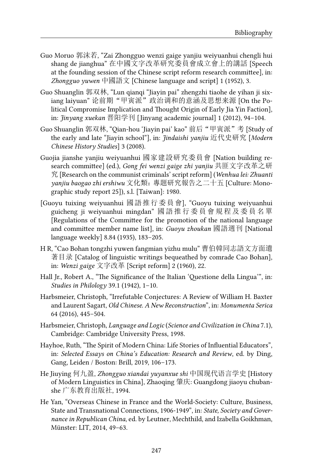- Guo Moruo 郭沫若, "Zai Zhongguo wenzi gaige yanjiu weiyuanhui chengli hui shang de jianghua" 在中國文字改革研究委員會成立會上的講話 [Speech at the founding session of the Chinese script reform research committee], in: *Zhongguo yuwen* 中國語文 [Chinese language and script] 1 (1952), 3.
- Guo Shuanglin 郭双林, "Lun qianqi "Jiayin pai" zhengzhi tiaohe de yihan ji sixiang laiyuan" 论前期"甲寅派"政治调和的意涵及思想来源 [On the Political Compromise Implication and Thought Origin of Early Jia Yin Faction], in: *Jinyang xuekan* 晋阳学刊 [Jinyang academic journal] 1 (2012), 94–104.
- Guo Shuanglin 郭双林, "Qian-hou 'Jiayin pai' kao" 前后"甲寅派"考 [Study of the early and late "Jiayin school"], in: *Jindaishi yanjiu* 近代史研究 [*Modern Chinese History Studies*] 3 (2008).
- Guojia jianshe yanjiu weiyuanhui 國家建設研究委員會 [Nation building research committee] (ed.), *Gong fei wenzi gaige zhi yanjiu* 共匪文字改革之研 究 [Research on the communist criminals' script reform] (*Wenhua lei: Zhuanti yanjiu baogao zhi ershiwu* 文化類:專題研究報告之二十五 [Culture: Monographic study report 25]), s.l. [Taiwan]: 1980.
- [Guoyu tuixing weiyuanhui 國語推行委員會], "Guoyu tuixing weiyuanhui guicheng ji weiyuanhui mingdan" 國 語 推 行 委 員 會 規 程 及 委 員 名 單 [Regulations of the Committee for the promotion of the national language and committee member name list], in: *Guoyu zhoukan* 國語週刊 [National language weekly] 8.84 (1935), 183–205.
- H R, "Cao Bohan tongzhi yuwen fangmian yizhu mulu" 曹伯韓同志語文方面遺 著目录 [Catalog of linguistic writings bequeathed by comrade Cao Bohan], in: *Wenzi gaige* 文字改革 [Script reform] 2 (1960), 22.
- Hall Jr., Robert A., "The Significance of the Italian 'Questione della Lingua'", in: *Studies in Philology* 39.1 (1942), 1–10.
- Harbsmeier, Christoph, "Irrefutable Conjectures: A Review of William H. Baxter and Laurent Sagart, *Old Chinese. A New Reconstruction*", in: *Monumenta Serica* 64 (2016), 445–504.
- Harbsmeier, Christoph, *Language and Logic* (*Science and Civilization in China* 7.1), Cambridge: Cambridge University Press, 1998.
- Hayhoe, Ruth, "The Spirit of Modern China: Life Stories of Influential Educators", in: *Selected Essays on China's Education: Research and Review*, ed. by Ding, Gang, Leiden / Boston: Brill, 2019, 106–173.
- He Jiuying 何九盈, *Zhongguo xiandai yuyanxue shi* 中国现代语言学史 [History of Modern Linguistics in China], Zhaoqing 肇庆: Guangdong jiaoyu chubanshe 广东教育出版社, 1994.
- He Yan, "Overseas Chinese in France and the World-Society: Culture, Business, State and Transnational Connections, 1906-1949", in: *State, Society and Governance in Republican China*, ed. by Leutner, Mechthild, and Izabella Goikhman, Münster: LIT, 2014, 49–63.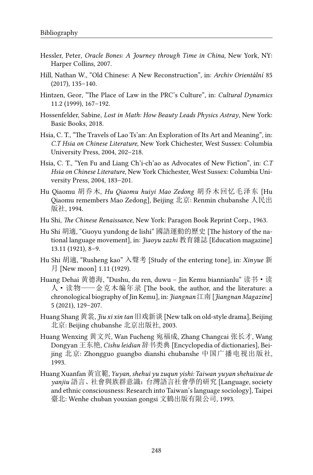- Hessler, Peter, *Oracle Bones: A Journey through Time in China*, New York, NY: Harper Collins, 2007.
- Hill, Nathan W., "Old Chinese: A New Reconstruction", in: *Archiv Orientální* 85 (2017), 135–140.
- Hintzen, Geor, "The Place of Law in the PRC's Culture", in: *Cultural Dynamics* 11.2 (1999), 167–192.
- Hossenfelder, Sabine, *Lost in Math: How Beauty Leads Physics Astray*, New York: Basic Books, 2018.
- Hsia, C. T., "The Travels of Lao Ts'an: An Exploration of Its Art and Meaning", in: *C.T Hsia on Chinese Literature*, New York Chichester, West Sussex: Columbia University Press, 2004, 202–218.
- Hsia, C. T., "Yen Fu and Liang Ch'i-ch'ao as Advocates of New Fiction", in: *C.T Hsia on Chinese Literature*, New York Chichester, West Sussex: Columbia University Press, 2004, 183–201.
- Hu Qiaomu 胡乔木, *Hu Qiaomu huiyi Mao Zedong* 胡乔木回忆毛泽东 [Hu Qiaomu remembers Mao Zedong], Beijing 北京: Renmin chubanshe 人民出 版社, 1994.
- Hu Shi, *The Chinese Renaissance*, New York: Paragon Book Reprint Corp., 1963.
- Hu Shi 胡適, "Guoyu yundong de lishi" 國語運動的歷史 [The history of the national language movement], in: *Jiaoyu zazhi* 教育雜誌 [Education magazine] 13.11 (1921), 8–9.
- Hu Shi 胡適, "Rusheng kao" 入聲考 [Study of the entering tone], in: *Xinyue* 新 月 [New moon] 1.11 (1929).
- Huang Dehai 黄德海, "Dushu, du ren, duwu Jin Kemu biannianlu" 读书·读 人·读物——金克木编年录 [The book, the author, and the literature: a chronological biography of Jin Kemu], in: *Jiangnan* 江南 [*Jiangnan Magazine*] 5 (2021), 129–207.
- Huang Shang 黄裳, *Jiu xi xin tan* 旧戏新谈 [New talk on old-style drama], Beijing 北京: Beijing chubanshe 北京出版社, 2003.
- Huang Wenxing 黄文兴, Wan Fucheng 宛福成, Zhang Changcai 张长才, Wang Dongyan 王东艳, *Cishu leidian* 辞书类典 [Encyclopedia of dictionaries], Beijing 北京: Zhongguo guangbo dianshi chubanshe 中国广播电视出版社, 1993.
- Huang Xuanfan 黃宣範, *Yuyan, shehui yu zuqun yishi: Taiwan yuyan shehuixue de yanjiu* 語言、社會與族群意識:台灣語言社會學的研究 [Language, society and ethnic consciousness: Research into Taiwan's language sociology], Taipei 臺北: Wenhe chuban youxian gongsi 文鶴出版有限公司, 1993.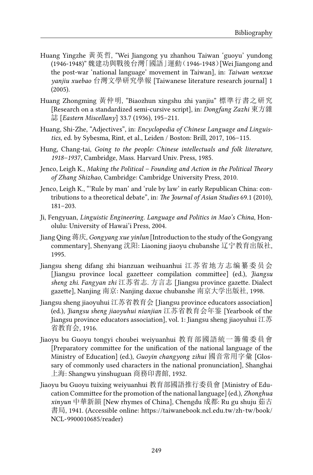- Huang Yingzhe 黃英哲, "Wei Jiangong yu zhanhou Taiwan 'guoyu' yundong (1946-1948)" 魏建功與戰後台灣「國語」運動(1946-1948)[Wei Jiangong and the post-war 'national language' movement in Taiwan], in: *Taiwan wenxue yanjiu xuebao* 台灣文學研究學報 [Taiwanese literature research journal] 1 (2005).
- Huang Zhongming 黃仲明, "Biaozhun xingshu zhi yanjiu" 標準行書之研究 [Research on a standardized semi-cursive script], in: *Dongfang Zazhi* 東方雜 誌 [*Eastern Miscellany*] 33.7 (1936), 195–211.
- Huang, Shi-Zhe, "Adjectives", in: *Encyclopedia of Chinese Language and Linguistics*, ed. by Sybesma, Rint, et al., Leiden / Boston: Brill, 2017, 106–115.
- Hung, Chang-tai, *Going to the people: Chinese intellectuals and folk literature, 1918–1937*, Cambridge, Mass. Harvard Univ. Press, 1985.
- Jenco, Leigh K., *Making the Political Founding and Action in the Political Theory of Zhang Shizhao*, Cambridge: Cambridge University Press, 2010.
- Jenco, Leigh K., "'Rule by man' and 'rule by law' in early Republican China: contributions to a theoretical debate", in: *The Journal of Asian Studies* 69.1 (2010), 181–203.
- Ji, Fengyuan, *Linguistic Engineering. Language and Politics in Mao's China*, Honolulu: University of Hawai'i Press, 2004.
- Jiang Qing 蒋庆, *Gongyang xue yinlun* [Introduction to the study of the Gongyang commentary], Shenyang 沈阳: Liaoning jiaoyu chubanshe 辽宁教育出版社, 1995.
- Jiangsu sheng difang zhi bianzuan weihuanhui 江苏省地方志编纂委员会 [Jiangsu province local gazetteer compilation committee] (ed.), *Jiangsu sheng zhi. Fangyan zhi* 江苏省志. 方言志 [Jiangsu province gazette. Dialect gazette], Nanjing 南京: Nanjing daxue chubanshe 南京大学出版社, 1998.
- Jiangsu sheng jiaoyuhui 江苏省教育会 [Jiangsu province educators association] (ed.), *Jiangsu sheng jiaoyuhui nianjian* 江苏省教育会年鉴 [Yearbook of the Jiangsu province educators association], vol. 1: Jiangsu sheng jiaoyuhui 江苏 省教育会, 1916.
- Jiaoyu bu Guoyu tongyi choubei weiyuanhui 教育部國語統一籌備委員會 [Preparatory committee for the unification of the national language of the Ministry of Education] (ed.), *Guoyin changyong zihui* 國音常用字彙 [Glossary of commonly used characters in the national pronunciation], Shanghai 上海: Shangwu yinshuguan 商務印書館, 1932.
- Jiaoyu bu Guoyu tuixing weiyuanhui 教育部國語推行委員會 [Ministry of Education Committee for the promotion of the national language] (ed.), *Zhonghua xinyun* 中華新韻 [New rhymes of China], Chengdu 成都: Ru gu shuju 茹古 書局, 1941. (Accessible online: [https://taiwanebook.ncl.edu.tw/zh-tw/book/](https://taiwanebook.ncl.edu.tw/zh-tw/book/NCL-9900010685/reader) [NCL-9900010685/reader\)](https://taiwanebook.ncl.edu.tw/zh-tw/book/NCL-9900010685/reader)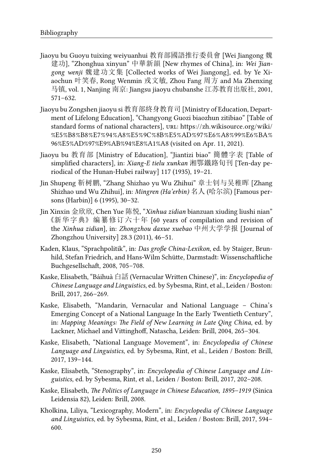- Jiaoyu bu Guoyu tuixing weiyuanhui 教育部國語推行委員會 [Wei Jiangong 魏 建功], "Zhonghua xinyun" 中華新韻 [New rhymes of China], in: *Wei Jiangong wenji* 魏建功文集 [Collected works of Wei Jiangong], ed. by Ye Xiaochun 叶笑春, Rong Wenmin 戎文敏, Zhou Fang 周方 and Ma Zhenxing 马镇, vol. 1, Nanjing 南京: Jiangsu jiaoyu chubanshe 江苏教育出版社, 2001, 571–632.
- Jiaoyu bu Zongshen jiaoyu si 教育部終身教育司 [Ministry of Education, Department of Lifelong Education], "Changyong Guozi biaozhun zitibiao" [Table of standard forms of national characters], URL: [https://zh.wikisource.org/wiki/](https://zh.wikisource.org/wiki/%E5%B8%B8%E7%94%A8%E5%9C%8B%E5%AD%97%E6%A8%99%E6%BA%96%E5%AD%97%E9%AB%94%E8%A1%A8) [%E5%B8%B8%E7%94%A8%E5%9C%8B%E5%AD%97%E6%A8%99%E6%BA%](https://zh.wikisource.org/wiki/%E5%B8%B8%E7%94%A8%E5%9C%8B%E5%AD%97%E6%A8%99%E6%BA%96%E5%AD%97%E9%AB%94%E8%A1%A8) [96%E5%AD%97%E9%AB%94%E8%A1%A8](https://zh.wikisource.org/wiki/%E5%B8%B8%E7%94%A8%E5%9C%8B%E5%AD%97%E6%A8%99%E6%BA%96%E5%AD%97%E9%AB%94%E8%A1%A8) (visited on Apr. 11, 2021).
- Jiaoyu bu 教育部 [Ministry of Education], "Jiantizi biao" 簡體字表 [Table of simplified characters], in: *Xiang-E tielu xunkan* 湘鄂鐵路旬刊 [Ten-day periodical of the Hunan-Hubei railway] 117 (1935), 19–21.
- Jin Shupeng 靳树鹏, "Zhang Shizhao yu Wu Zhihui" 章士钊与吴稚晖 [Zhang Shizhao und Wu Zhihui], in: *Mingren (Ha'erbin)* 名人 (哈尔滨) [Famous persons (Harbin)] 6 (1995), 30–32.
- Jin Xinxin 金欣欣, Chen Yue 陈悦, "*Xinhua zidian* bianzuan xiuding liushi nian" 《新华字典》编纂修订六十年 [60 years of compilation and revision of the *Xinhua zidian*], in: *Zhongzhou daxue xuebao* 中州大学学报 [Journal of Zhongzhou University] 28.3 (2011), 46–51.
- Kaden, Klaus, "Sprachpolitik", in: *Das große China-Lexikon*, ed. by Staiger, Brunhild, Stefan Friedrich, and Hans-Wilm Schütte, Darmstadt: Wissenschaftliche Buchgesellschaft, 2008, 705–708.
- Kaske, Elisabeth, "Báihuà 白話 (Vernacular Written Chinese)", in: *Encyclopedia of Chinese Language and Linguistics*, ed. by Sybesma, Rint, et al., Leiden / Boston: Brill, 2017, 266–269.
- Kaske, Elisabeth, "Mandarin, Vernacular and National Language China's Emerging Concept of a National Language In the Early Twentieth Century", in: *Mapping Meanings: The Field of New Learning in Late Qing China*, ed. by Lackner, Michael and Vittinghoff, Natascha, Leiden: Brill, 2004, 265–304.
- Kaske, Elisabeth, "National Language Movement", in: *Encyclopedia of Chinese Language and Linguistics*, ed. by Sybesma, Rint, et al., Leiden / Boston: Brill, 2017, 139–144.
- Kaske, Elisabeth, "Stenography", in: *Encyclopedia of Chinese Language and Linguistics*, ed. by Sybesma, Rint, et al., Leiden / Boston: Brill, 2017, 202–208.
- Kaske, Elisabeth, *The Politics of Language in Chinese Education, 1895–1919* (Sinica Leidensia 82), Leiden: Brill, 2008.
- Kholkina, Liliya, "Lexicography, Modern", in: *Encyclopedia of Chinese Language and Linguistics*, ed. by Sybesma, Rint, et al., Leiden / Boston: Brill, 2017, 594– 600.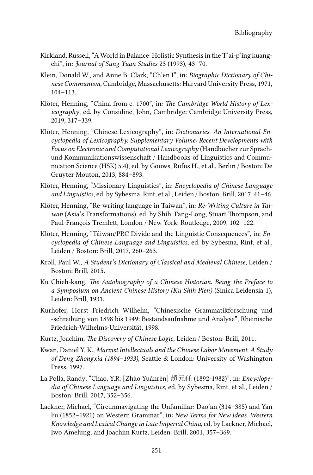- Kirkland, Russell, "A World in Balance: Holistic Synthesis in the T'ai-p'ing kuangchi", in: *Journal of Sung-Yuan Studies* 23 (1993), 43–70.
- Klein, Donald W., and Anne B. Clark, "Ch'en I", in: *Biographic Dictionary of Chinese Communism*, Cambridge, Massachusetts: Harvard University Press, 1971, 104–113.
- Klöter, Henning, "China from c. 1700", in: *The Cambridge World History of Lexicography*, ed. by Considine, John, Cambridge: Cambridge University Press, 2019, 317–339.
- Klöter, Henning, "Chinese Lexicography", in: *Dictionaries. An International Encyclopedia of Lexicography. Supplementary Volume: Recent Developments with Focus on Electronic and Computational Lexicography* (Handbücher zur Sprachund Kommunikationswissenschaft / Handbooks of Linguistics and Communication Science (HSK) 5.4), ed. by Gouws, Rufus H., et al., Berlin / Boston: De Gruyter Mouton, 2013, 884–893.
- Klöter, Henning, "Missionary Linguistics", in: *Encyclopedia of Chinese Language and Linguistics*, ed. by Sybesma, Rint, et al., Leiden / Boston: Brill, 2017, 41–46.
- Klöter, Henning, "Re-writing language in Taiwan", in: *Re-Writing Culture in Taiwan* (Asia's Transformations), ed. by Shih, Fang-Long, Stuart Thompson, and Paul-François Tremlett, London / New York: Routledge, 2009, 102–122.
- Klöter, Henning, "Táiwān/PRC Divide and the Linguistic Consequences", in: *Encyclopedia of Chinese Language and Linguistics*, ed. by Sybesma, Rint, et al., Leiden / Boston: Brill, 2017, 260–263.
- Kroll, Paul W., *A Student's Dictionary of Classical and Medieval Chinese*, Leiden / Boston: Brill, 2015.
- Ku Chieh-kang, *The Autobiography of a Chinese Historian. Being the Preface to a Symposium on Ancient Chinese History (Ku Shih Pien)* (Sinica Leidensia 1), Leiden: Brill, 1931.
- Kurhofer, Horst Friedrich Wilhelm, "Chinesische Grammatikforschung und -schreibung von 1898 bis 1949: Bestandsaufnahme und Analyse", Rheinische Friedrich-Wilhelms-Universität, 1998.
- Kurtz, Joachim, *The Discovery of Chinese Logic*, Leiden / Boston: Brill, 2011.
- Kwan, Daniel Y. K., *Marxist Intellectuals and the Chinese Labor Movement. A Study of Deng Zhongxia (1894–1933)*, Seattle & London: University of Washington Press, 1997.
- La Polla, Randy, "Chao, Y.R. [Zhào Yuánrèn] 趙元任 (1892-1982)", in: *Encyclopedia of Chinese Language and Linguistics*, ed. by Sybesma, Rint, et al., Leiden / Boston: Brill, 2017, 352–356.
- Lackner, Michael, "Circumnavigating the Unfamiliar: Dao'an (314–385) and Yan Fu (1852–1921) on Western Grammar", in: *New Terms for New Ideas. Western Knowledge and Lexical Change in Late Imperial China*, ed. by Lackner, Michael, Iwo Amelung, and Joachim Kurtz, Leiden: Brill, 2001, 357–369.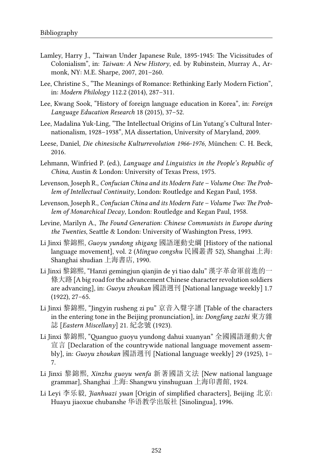- Lamley, Harry J., "Taiwan Under Japanese Rule, 1895-1945: The Vicissitudes of Colonialism", in: *Taiwan: A New History*, ed. by Rubinstein, Murray A., Armonk, NY: M.E. Sharpe, 2007, 201–260.
- Lee, Christine S., "The Meanings of Romance: Rethinking Early Modern Fiction", in: *Modern Philology* 112.2 (2014), 287–311.
- Lee, Kwang Sook, "History of foreign language education in Korea", in: *Foreign Language Education Research* 18 (2015), 37–52.
- Lee, Madalina Yuk-Ling, "The Intellectual Origins of Lin Yutang's Cultural Internationalism, 1928–1938", MA dissertation, University of Maryland, 2009.
- Leese, Daniel, *Die chinesische Kulturrevolution 1966-1976*, München: C. H. Beck, 2016.
- Lehmann, Winfried P. (ed.), *Language and Linguistics in the People's Republic of China*, Austin & London: University of Texas Press, 1975.
- Levenson, Joseph R., *Confucian China and its Modern Fate Volume One: The Problem of Intellectual Continuity*, London: Routledge and Kegan Paul, 1958.
- Levenson, Joseph R., *Confucian China and its Modern Fate Volume Two: The Problem of Monarchical Decay*, London: Routledge and Kegan Paul, 1958.
- Levine, Marilyn A., *The Found Generation: Chinese Communists in Europe during the Twenties*, Seattle & London: University of Washington Press, 1993.
- Li Jinxi 黎錦熙, *Guoyu yundong shigang* 國語運動史綱 [History of the national language movement], vol. 2 (*Minguo congshu* 民國叢書 52), Shanghai 上海: Shanghai shudian 上海書店, 1990.
- Li Jinxi 黎錦熙, "Hanzi gemingjun qianjin de yi tiao dalu" 漢字革命軍前進的一 條大路 [A big road for the advancement Chinese character revolution soldiers are advancing], in: *Guoyu zhoukan* 國語週刊 [National language weekly] 1.7 (1922), 27–65.
- Li Jinxi 黎錦熙, "Jingyin rusheng zi pu" 京音入聲字譜 [Table of the characters in the entering tone in the Beijing pronunciation], in: *Dongfang zazhi* 東方雜 誌 [*Eastern Miscellany*] 21. 紀念號 (1923).
- Li Jinxi 黎錦熙, "Quanguo guoyu yundong dahui xuanyan" 全國國語運動大會 宣言 [Declaration of the countrywide national language movement assembly], in: *Guoyu zhoukan* 國語週刊 [National language weekly] 29 (1925), 1– 7.
- Li Jinxi 黎錦熙, *Xinzhu guoyu wenfa* 新著國語文法 [New national language grammar], Shanghai 上海: Shangwu yinshuguan 上海印書館, 1924.
- Li Leyi 李乐毅, *Jianhuazi yuan* [Origin of simplified characters], Beijing 北京: Huayu jiaoxue chubanshe 华语教学出版社 [Sinolingua], 1996.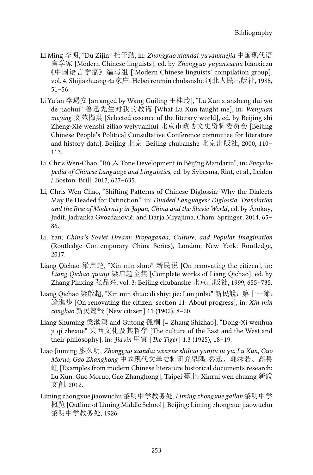- Li Ming 李明, "Du Zijin" 杜子劲, in: *Zhongguo xiandai yuyanxuejia* 中国现代语 言学家 [Modern Chinese linguists], ed. by *Zhongguo yuyanxuejia* bianxiezu 《中国语言学家》编写组 ['Modern Chinese linguists' compilation group], vol. 4, Shijiazhuang 石家庄: Hebei renmin chubanshe 河北人民出版社, 1985, 51–56.
- Li Yu'an 李遇安 [arranged by Wang Guiling 王桂玲], "Lu Xun xiansheng dui wo de jiaohui" 鲁迅先生对我的教诲 [What Lu Xun taught me], in: *Wenyuan xieying* 文苑撷英 [Selected essence of the literary world], ed. by Beijing shi Zheng-Xie wenshi ziliao weiyuanhui 北京市政协文史资料委员会 [Beijing Chinese People's Political Consultative Conference committee for literature and history data], Beijing 北京: Beijing chubanshe 北京出版社, 2000, 110– 113.
- Li, Chris Wen-Chao, "Rù 入 Tone Development in Běijīng Mandarin", in: *Encyclopedia of Chinese Language and Linguistics*, ed. by Sybesma, Rint, et al., Leiden / Boston: Brill, 2017, 627–635.
- Li, Chris Wen-Chao, "Shifting Patterns of Chinese Diglossia: Why the Dialects May Be Headed for Extinction", in: *Divided Languages? Diglossia, Translation and the Rise of Modernity in Japan, China and the Slavic World*, ed. by Árokay, Judit, Jadranka Gvozdanović, and Darja Miyajima, Cham: Springer, 2014, 65– 86.
- Li, Yan, *China's Soviet Dream: Propaganda, Culture, and Popular Imagination* (Routledge Contemporary China Series), London; New York: Routledge, 2017.
- Liang Qichao 梁启超, "Xin min shuo" 新民说 [On renovating the citizen], in: *Liang Qichao quanji* 梁启超全集 [Complete works of Liang Qichao], ed. by Zhang Pinxing 张品兴, vol. 3: Beijing chubanshe 北京出版社, 1999, 655–735.
- Liang Qichao 梁啟超, "Xin min shuo: di shiyi jie: Lun jinbu" 新民說: 第十一節: 論進步 [On renovating the citizen: section 11: About progress], in: *Xin min congbao* 新民叢報 [New citizen] 11 (1902), 8–20.
- Liang Shuming 梁漱溟 and Gutong 孤桐 [= Zhang Shizhao], "Dong-Xi wenhua ji qi zhexue" 東西文化及其哲學 [The culture of the East and the West and their philosophy], in: *Jiayin* 甲寅 [*The Tiger*] 1.3 (1925), 18–19.
- Liao Jiuming 廖久明, *Zhongguo xiandai wenxue shiliao yanjiu ju yu: Lu Xun, Guo Moruo, Gao Zhanghong* 中國現代文學史料研究舉隅: 魯迅、郭沫若、高長 虹 [Examples from modern Chinese literature historical documents research: Lu Xun, Guo Moruo, Gao Zhanghong], Taipei 臺北: Xinrui wen chuang 新銳 文創, 2012.
- Liming zhongxue jiaowuchu 黎明中学教务处, *Liming zhongxue gailan* 黎明中学 概览 [Outline of Liming Middle School], Beijing: Liming zhongxue jiaowuchu 黎明中学教务处, 1926.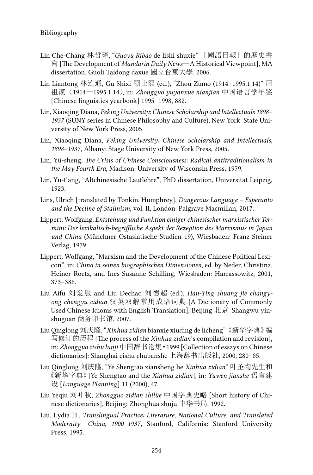- Lin Che-Chang 林哲璋, "*Guoyu Ribao* de lishi shuxie" 「國語日報」的歷史書 寫 [The Development of *Mandarin Daily News*—A Historical Viewpoint], MA dissertation, Guoli Taidong daxue 國立台東大學, 2006.
- Lin Liantong 林连通, Gu Shixi 顾士熙 (ed.), "Zhou Zumo (1914–1995.1.14)" 周 祖谟(1914—1995.1.14), in: *Zhongguo yuyanxue nianjian* 中国语言学年鉴 [Chinese linguistics yearbook] 1995–1998, 882.
- Lin, Xiaoqing Diana, *Peking University: Chinese Scholarship and Intellectuals 1898– 1937* (SUNY series in Chinese Philosophy and Culture), New York: State University of New York Press, 2005.
- Lin, Xiaoqing Diana, *Peking University: Chinese Scholarship and Intellectuals, 1898–1937*, Albany: Stage University of New York Press, 2005.
- Lin, Yü-sheng, *The Crisis of Chinese Consciousness: Radical antitraditionalism in the May Fourth Era*, Madison: University of Wisconsin Press, 1979.
- Lin, Yü-t'ang, "Altchinesische Lautlehre", PhD dissertation, Universität Leipzig, 1923.
- Lins, Ulrich [translated by Tonkin, Humphrey], *Dangerous Language Esperanto and the Decline of Stalinism*, vol. II, London: Palgrave Macmillan, 2017.
- Lippert, Wolfgang, *Entstehung und Funktion einiger chinesischer marxistischer Termini: Der lexikalisch-begriffliche Aspekt der Rezeption des Marxismus in Japan und China* (Münchner Ostasiatische Studien 19), Wiesbaden: Franz Steiner Verlag, 1979.
- Lippert, Wolfgang, "Marxism and the Development of the Chinese Political Lexicon", in: *China in seinen biographischen Dimensionen*, ed. by Neder, Christina, Heiner Roetz, and Ines-Susanne Schilling, Wiesbaden: Harrassowitz, 2001, 373–386.
- Liu Aifu 刘爱服 and Liu Dechao 刘德超 (ed.), *Han-Ying shuang jie changyong chengyu cidian* 汉英双解常用成语词典 [A Dictionary of Commonly Used Chinese Idioms with English Translation], Beijing 北京: Shangwu yinshuguan 商务印书馆, 2007.
- Liu Qinglong 刘庆隆, "*Xinhua zidian* bianxie xiuding de licheng"《新华字典》编 写修订的历程 [The process of the *Xinhua zidian*'s compilation and revision], in: *Zhongguo cishu lunji* 中国辞书论集·1999 [Collection of essays on Chinese dictionaries]: Shanghai cishu chubanshe 上海辞书出版社, 2000, 280–85.
- Liu Qinglong 刘庆隆, "Ye Shengtao xiansheng he *Xinhua zidian*" 叶圣陶先生和 《新华字典》[Ye Shengtao and the *Xinhua zidian*], in: *Yuwen jianshe* 语言建 设 [*Language Planning*] 11 (2000), 47.
- Liu Yeqiu 刘叶秋, *Zhongguo zidian shilüe* 中国字典史略 [Short history of Chinese dictionaries], Beijing: Zhonghua shuju 中华书局, 1992.
- Liu, Lydia H., *Translingual Practice: Literature, National Culture, and Translated Modernity—-China, 1900–1937*, Stanford, California: Stanford University Press, 1995.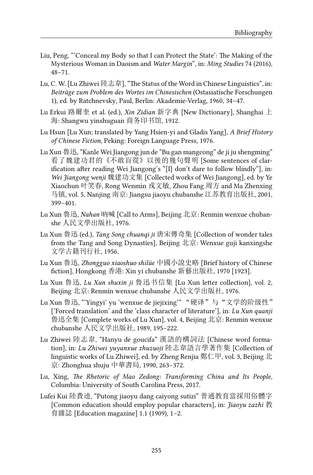- Liu, Peng, "'Conceal my Body so that I can Protect the State': The Making of the Mysterious Woman in Daoism and *Water Margin*", in: *Ming Studies* 74 (2016), 48–71.
- Lu, C. W. [Lu Zhiwei 陸志韋], "The Status of the Word in Chinese Linguistics", in: *Beiträge zum Problem des Wortes im Chinesischen* (Ostasiatische Forschungen 1), ed. by Ratchnevsky, Paul, Berlin: Akademie-Verlag, 1960, 34–47.
- Lu Erkui 路爾奎 et al. (ed.), *Xin Zidian* 新字典 [New Dictionary], Shanghai 上 海: Shangwu yinshuguan 商务印书馆, 1912.
- Lu Hsun [Lu Xun; translated by Yang Hsien-yi and Gladis Yang], *A Brief History of Chinese Fiction*, Peking: Foreign Language Press, 1976.
- Lu Xun 魯迅, "Kanle Wei Jiangong jun de "Bu gan mangcong" de ji ju shengming" 看了魏建功君的《不敢盲從》以後的幾句聲明 [Some sentences of clarification after reading Wei Jiangong's "[I] don't dare to follow blindly"], in: *Wei Jiangong wenji* 魏建功文集 [Collected works of Wei Jiangong], ed. by Ye Xiaochun 叶笑春, Rong Wenmin 戎文敏, Zhou Fang 周方 and Ma Zhenxing 马镇, vol. 5, Nanjing 南京: Jiangsu jiaoyu chubanshe 江苏教育出版社, 2001, 399–401.
- Lu Xun 魯迅, *Nahan* 吶喊 [Call to Arms], Beijing 北京: Renmin wenxue chubanshe 人民文學出版社, 1976.
- Lu Xun 魯迅 (ed.), *Tang Song chuanqi ji* 唐宋傳奇集 [Collection of wonder tales from the Tang and Song Dynasties], Beijing 北京: Wenxue guji kanxingshe 文学古籍刊行社, 1956.
- Lu Xun 魯迅, *Zhongguo xiaoshuo shilüe* 中國小說史略 [Brief history of Chinese fiction], Hongkong 香港: Xin yi chubanshe 新藝出版社, 1970 [1923].
- Lu Xun 鲁迅, *Lu Xun shuxin ji* 鲁迅书信集 [Lu Xun letter collection], vol. 2, Beijing 北京: Renmin wenxue chubanshe 人民文学出版社, 1976.
- Lu Xun 鲁迅, "'Yingyi' yu 'wenxue de jiejixing'" "硬译"与"文学的阶级性" ['Forced translation' and the 'class character of literature'], in: *Lu Xun quanji* 鲁迅全集 [Complete works of Lu Xun], vol. 4, Beijing 北京: Renmin wenxue chubanshe 人民文学出版社, 1989, 195–222.
- Lu Zhiwei 陸志韋, "Hanyu de goucifa" 漢語的構詞法 [Chinese word formation], in: *Lu Zhiwei yuyanxue zhuzuoji* 陸志韋語言學著作集 [Collection of linguistic works of Lu Zhiwei], ed. by Zheng Renjia 鄭仁甲, vol. 3, Beijing 北 京: Zhonghua shuju 中華書局, 1990, 263–372.
- Lu, Xing, *The Rhetoric of Mao Zedong: Transforming China and Its People*, Columbia: University of South Carolina Press, 2017.
- Lufei Kui 陸費逵, "Putong jiaoyu dang caiyong sutizi" 普通教育當採用俗體字 [Common education should employ popular characters], in: *Jiaoyu zazhi* 教 育雜誌 [Education magazine] 1.1 (1909), 1–2.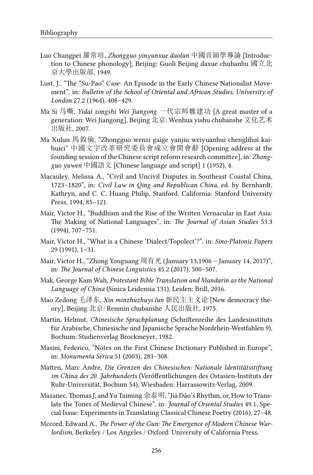- Luo Changpei 羅常培, *Zhongguo yinyunxue daolun* 中國音韻學導論 [Introduction to Chinese phonology], Beijing: Guoli Beijing daxue chubanbu 國立北 京大學出版部, 1949.
- Lust, J., "The "Su-Pao" Case: An Episode in the Early Chinese Nationalist Movement", in: *Bulletin of the School of Oriental and African Studies, University of London* 27.2 (1964), 408–429.
- Ma Si 马嘶, *Yidai zongshi Wei Jiangong* 一代宗师魏建功 [A great master of a generation: Wei Jiangong], Beijing 北京: Wenhua yishu chubanshe 文化艺术 出版社, 2007.
- Ma Xulun 馬敘倫, "Zhongguo wenzi gaige yanjiu weiyuanhui chenglihui kaihuici" 中國文字改革研究委員會成立會開會辭 [Opening address at the founding session of the Chinese script reform research committee], in: *Zhongguo yuwen* 中國語文 [Chinese language and script] 1 (1952), 4.
- Macauley, Melissa A., "Civil and Uncivil Disputes in Southeast Coastal China, 1723–1820", in: *Civil Law in Qing and Republican China*, ed. by Bernhardt, Kathryn, and C. C. Huang Philip, Stanford, California: Stanford University Press, 1994, 85–121.
- Mair, Victor H., "Buddhism and the Rise of the Written Vernacular in East Asia: The Making of National Languages", in: *The Journal of Asian Studies* 53.3 (1994), 707–751.
- Mair, Victor H., "What is a Chinese 'Dialect/Topolect'?", in: *Sino-Platonic Papers* 29 (1991), 1–31.
- Mair, Victor H., "Zhong Youguang 周有光 (January 13,1906 January 14, 2017)", in: *The Journal of Chinese Linguistics* 45.2 (2017), 500–507.
- Mak, George Kam Wah, *Protestant Bible Translation and Mandarin as the National Language of China* (Sinica Leidensia 131), Leiden: Brill, 2016.
- Mao Zedong 毛泽东, *Xin minzhuzhuyi lun* 新民主主义论 [New democracy theory], Beijing 北京: Renmin chubanshe 人民出版社, 1975.
- Martin, Helmut, *Chinesische Sprachplanung* (Schriftenreihe des Landesinstituts für Arabische, Chinesische und Japanische Sprache Nordrhein-Westfahlen 9), Bochum: Studienverlag Brockmeyer, 1982.
- Masini, Federico, "Notes on the First Chinese Dictionary Published in Europe", in: *Monumenta Serica* 51 (2003), 283–308.
- Matten, Marc Andre, *Die Grenzen des Chinesischen: Nationale Identitätsstiftung im China des 20. Jahrhunderts* (Veröffentlichungen des Ostasien-Instituts der Ruhr-Universität, Bochum 54), Wiesbaden: Harrassowitz-Verlag, 2009.
- Mazanec, Thomas J, and Yu Taiming 余泰明, "Jiǎ Dǎo's Rhythm, or, How to Translate the Tones of Medieval Chinese", in: *Journal of Oriental Studies* 49.1, Special Issue: Experiments in Translating Classical Chinese Poetry (2016), 27–48.
- Mccord, Edward A., *The Power of the Gun: The Emergence of Modern Chinese Warlordism*, Berkeley / Los Angeles / Oxford: University of California Press,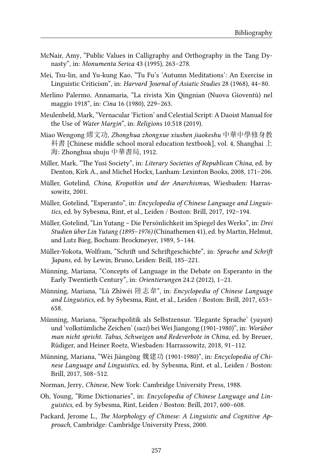- McNair, Amy, "Public Values in Calligraphy and Orthography in the Tang Dynasty", in: *Monumenta Serica* 43 (1995), 263–278.
- Mei, Tsu-lin, and Yu-kung Kao, "Tu Fu's 'Autumn Meditations': An Exercise in Linguistic Criticism", in: *Harvard Journal of Asiatic Studies* 28 (1968), 44–80.
- Merlino Palermo, Annamaria, "La rivista Xin Qingnian (Nuova Gioventù) nel maggio 1918", in: *Cina* 16 (1980), 229–263.
- Meulenbeld, Mark, "Vernacular 'Fiction' and Celestial Script: A Daoist Manual for the Use of *Water Margin*", in: *Religions* 10.518 (2019).
- Miao Wengong 繆文功, *Zhonghua zhongxue xiushen jiaokeshu* 中華中學修身教 科書 [Chinese middle school moral education textbook], vol. 4, Shanghai 上 海: Zhonghua shuju 中華書局, 1912.
- Miller, Mark, "The Yusi Society", in: *Literary Societies of Republican China*, ed. by Denton, Kirk A., and Michel Hockx, Lanham: Lexinton Books, 2008, 171–206.
- Müller, Gotelind, *China, Kropotkin und der Anarchismus*, Wiesbaden: Harrassowitz, 2001.
- Müller, Gotelind, "Esperanto", in: *Encyclopedia of Chinese Language and Linguistics*, ed. by Sybesma, Rint, et al., Leiden / Boston: Brill, 2017, 192–194.
- Müller, Gotelind, "Lin Yutang Die Persönlichkeit im Spiegel des Werks", in: *Drei Studien über Lin Yutang (1895–1976)* (Chinathemen 41), ed. by Martin, Helmut, and Lutz Bieg, Bochum: Brockmeyer, 1989, 5–144.
- Müller-Yokota, Wolfram, "Schrift und Schriftgeschichte", in: *Sprache und Schrift Japans*, ed. by Lewin, Bruno, Leiden: Brill, 185–221.
- Münning, Mariana, "Concepts of Language in the Debate on Esperanto in the Early Twentieth Century", in: *Orientierungen* 24.2 (2012), 1–21.
- Münning, Mariana, "Lù Zhìwéi 陸志韋", in: *Encyclopedia of Chinese Language and Linguistics*, ed. by Sybesma, Rint, et al., Leiden / Boston: Brill, 2017, 653– 658.
- Münning, Mariana, "Sprachpolitik als Selbstzensur. 'Elegante Sprache' (*yayan*) und 'volkstümliche Zeichen' (*suzi*) bei Wei Jiangong (1901-1980)", in: *Worüber man nicht spricht. Tabus, Schweigen und Redeverbote in China*, ed. by Breuer, Rüdiger, and Heiner Roetz, Wiesbaden: Harrassowitz, 2018, 91–112.
- Münning, Mariana, "Wèi Jiàngōng 魏建功 (1901-1980)", in: *Encyclopedia of Chinese Language and Linguistics*, ed. by Sybesma, Rint, et al., Leiden / Boston: Brill, 2017, 508–512.
- Norman, Jerry, *Chinese*, New York: Cambridge University Press, 1988.
- Oh, Young, "Rime Dictionaries", in: *Encyclopedia of Chinese Language and Linguistics*, ed. by Sybesma, Rint, Leiden / Boston: Brill, 2017, 600–608.
- Packard, Jerome L., *The Morphology of Chinese: A Linguistic and Cognitive Approach*, Cambridge: Cambridge University Press, 2000.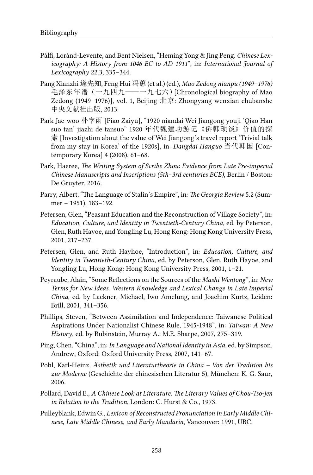- Pálfi, Loránd-Levente, and Bent Nielsen, "Heming Yong & Jing Peng. *Chinese Lexicography: A History from 1046 BC to AD 1911*", in: *International Journal of Lexicography* 22.3, 335–344.
- Pang Xianzhi 逄先知, Feng Hui 冯蕙 (et al.) (ed.), *Mao Zedong nianpu (1949–1976)* 毛泽东年谱(一九四九——一九七六)[Chronological biography of Mao Zedong (1949–1976)], vol. 1, Beijing 北京: Zhongyang wenxian chubanshe 中央文献社出版, 2013.
- Park Jae-woo 朴宰雨 [Piao Zaiyu], "1920 niandai Wei Jiangong youji 'Qiao Han suo tan' jiazhi de tansuo" 1920 年代魏建功游记《侨韩琐谈》价值的探 索 [Investigation about the value of Wei Jiangong's travel report 'Trivial talk from my stay in Korea' of the 1920s], in: *Dangdai Hanguo* 当代韩国 [Contemporary Korea] 4 (2008), 61–68.
- Park, Haeree, *The Writing System of Scribe Zhou: Evidence from Late Pre-imperial Chinese Manuscripts and Inscriptions (5th*–*3rd centuries BCE)*, Berlin / Boston: De Gruyter, 2016.
- Parry, Albert, "The Language of Stalin's Empire", in: *The Georgia Review* 5.2 (Summer – 1951), 183–192.
- Petersen, Glen, "Peasant Education and the Reconstruction of Village Society", in: *Education, Culture, and Identity in Twentieth-Century China*, ed. by Peterson, Glen, Ruth Hayoe, and Yongling Lu, Hong Kong: Hong Kong University Press, 2001, 217–237.
- Petersen, Glen, and Ruth Hayhoe, "Introduction", in: *Education, Culture, and Identity in Twentieth-Century China*, ed. by Peterson, Glen, Ruth Hayoe, and Yongling Lu, Hong Kong: Hong Kong University Press, 2001, 1–21.
- Peyraube, Alain, "Some Reflections on the Sources of the *Mashi Wentong*", in: *New Terms for New Ideas. Western Knowledge and Lexical Change in Late Imperial China*, ed. by Lackner, Michael, Iwo Amelung, and Joachim Kurtz, Leiden: Brill, 2001, 341–356.
- Phillips, Steven, "Between Assimilation and Independence: Taiwanese Political Aspirations Under Nationalist Chinese Rule, 1945-1948", in: *Taiwan: A New History*, ed. by Rubinstein, Murray A.: M.E. Sharpe, 2007, 275–319.
- Ping, Chen, "China", in: *In Language and National Identity in Asia*, ed. by Simpson, Andrew, Oxford: Oxford University Press, 2007, 141–67.
- Pohl, Karl-Heinz, *Ästhetik und Literaturtheorie in China Von der Tradition bis zur Moderne* (Geschichte der chinesischen Literatur 5), München: K. G. Saur, 2006.
- Pollard, David E., *A Chinese Look at Literature. The Literary Values of Chou-Tso-jen in Relation to the Tradition*, London: C. Hurst & Co., 1973.
- Pulleyblank, Edwin G., *Lexicon of Reconstructed Pronunciation in Early Middle Chinese, Late Middle Chinese, and Early Mandarin*, Vancouver: 1991, UBC.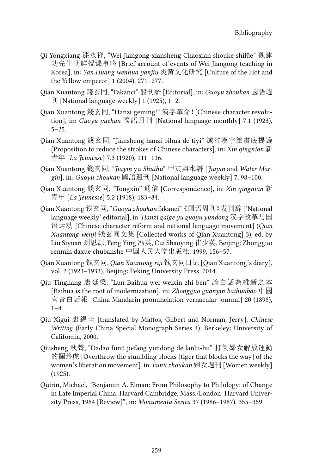- Qi Yongxiang 漆永祥, "Wei Jiangong xiansheng Chaoxian shouke shilüe" 魏建 功先生朝鲜授课事略 [Brief account of events of Wei Jiangong teaching in Korea], in: *Yan Huang wenhua yanjiu* 炎黄文化研究 [Culture of the Hot and the Yellow emperor] 1 (2004), 271–277.
- Qian Xuantong 錢玄同, "Fakanci" 發刊辭 [Editorial], in: *Guoyu zhoukan* 國語週 刊 [National language weekly] 1 (1925), 1–2.
- Qian Xuantong 錢玄同, "Hanzi geming!" 漢字革命![Chinese character revolution], in: *Guoyu yuekan* 國語月刊 [National language monthly] 7.1 (1923),  $5 - 25.$
- Qian Xuantong 錢玄同, "Jiansheng hanzi bihua de tiyi" 減省漢字筆畫底提議 [Proposition to reduce the strokes of Chinese characters], in: *Xin qingnian* 新 青年 [*La Jeunesse*] 7.3 (1920), 111–116.
- Qian Xuantong 錢玄同, "*Jiayin* yu *Shuihu*" 甲寅與水滸 [*Jiayin* and *Water Margin*], in: *Guoyu zhoukan* 國語週刊 [National language weekly] 7, 98–100.
- Qian Xuantong 錢玄同, "Tongxin" 通信 [Correspondence], in: *Xin qingnian* 新 青年 [*La Jeunesse*] 5.2 (1918), 183–84.
- Qian Xuantong 钱玄同, "*Guoyu zhoukan* fakanci"《国语周刊》发刊辞 ['National language weekly' editorial], in: *Hanzi gaige yu guoyu yundong* 汉字改革与国 语运动 [Chinese character reform and national language movement] (*Qian Xuantong wenji* 钱玄同文集 [Collected works of Qian Xuantong] 3), ed. by Liu Siyuan 刘思源, Feng Ying 冯英, Cui Shaoying 崔少英, Beijing: Zhongguo renmin daxue chubanshe 中国人民大学出版社, 1999, 156–57.
- Qian Xuantong 钱玄同, *Qian Xuantong riji* 钱玄同日记 [Qian Xuantong's diary], vol. 2 (1923–1933), Beijing: Peking University Press, 2014.
- Qiu Tingliang 裘廷梁, "Lun Baihua wei weixin zhi ben" 論白話為維新之本 [Baihua is the root of modernization], in: *Zhongguo guanyin baihuabao* 中國 官音白話報 [China Mandarin pronunciation vernacular journal] 20 (1898),  $1-4.$
- Qiu Xigui 裘錫圭 [translated by Mattos, Gilbert and Norman, Jerry], *Chinese Writing* (Early China Special Monograph Series 4), Berkeley: University of California, 2000.
- Qiusheng 秋聲, "Dadao funü jiefang yundong de lanlu-hu" 打倒婦女解放運動 的攔路虎 [Overthrow the stumbling blocks [tiger that blocks the way] of the women's liberation movement], in: *Funü zhoukan* 婦女週刊 [Women weekly] (1925).
- Quirin, Michael, "Benjamin A. Elman: From Philosophy to Philology: of Change in Late Imperial China. Harvard Cambridge, Mass./London: Harvard University Press, 1984 [Review]", in: *Monumenta Serica* 37 (1986–1987), 355–359.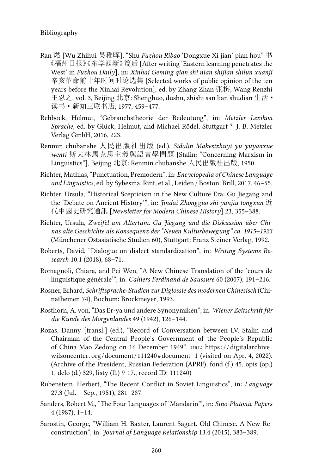- Ran 燃 [Wu Zhihui 吴稚晖], "Shu *Fuzhou Ribao* 'Dongxue Xi jian' pian hou" 书 《福州日报》《东学西渐》篇后 [After writing 'Eastern learning penetrates the West' in *Fuzhou Daily*], in: *Xinhai Geming qian shi nian shijian shilun xuanji* 辛亥革命前十年时间时论选集 [Selected works of public opinion of the ten years before the Xinhai Revolution], ed. by Zhang Zhan 张栴, Wang Renzhi 王忍之, vol. 3, Beijing 北京: Shenghuo, dushu, zhishi san lian shudian 生活· 读书·新知三联书店, 1977, 459–477.
- Rehbock, Helmut, "Gebrauchstheorie der Bedeutung", in: *Metzler Lexikon Sprache*, ed. by Glück, Helmut, and Michael Rödel, Stuttgart ⁵: J. B. Metzler Verlag GmbH, 2016, 223.
- Renmin chubanshe 人民出版社出版 (ed.), *Sidalin Makesizhuyi yu yuyanxue wenti* 斯大林馬克思主義與語言學問題 [Stalin: "Concerning Marxism in Linguistics"], Beijing 北京: Renmin chubanshe 人民出版社出版, 1950.
- Richter, Mathias, "Punctuation, Premodern", in: *Encyclopedia of Chinese Language and Linguistics*, ed. by Sybesma, Rint, et al., Leiden / Boston: Brill, 2017, 46–55.
- Richter, Ursula, "Historical Scepticism in the New Culture Era: Gu Jiegang and the 'Debate on Ancient History'", in: *Jindai Zhongguo shi yanjiu tongxun* 近 代中國史研究通訊 [*Newsletter for Modern Chinese History*] 23, 355–388.
- Richter, Ursula, *Zweifel am Altertum. Gu Jiegang und die Diskussion über Chinas alte Geschichte als Konsequenz der "Neuen Kulturbewegung" ca. 1915–1923* (Münchener Ostasiatische Studien 60), Stuttgart: Franz Steiner Verlag, 1992.
- Roberts, David, "Dialogue on dialect standardization", in: *Writing Systems Research* 10.1 (2018), 68–71.
- Romagnoli, Chiara, and Pei Wen, "A New Chinese Translation of the 'cours de linguistique générale'", in: *Cahiers Ferdinand de Saussure* 60 (2007), 191–216.
- Rosner, Erhard, *Schriftsprache: Studien zur Diglossie des modernen Chinesisch* (Chinathemen 74), Bochum: Brockmeyer, 1993.
- Rosthorn, A. von, "Das Er-ya und andere Synonymiken", in: *Wiener Zeitschrift für die Kunde des Morgenlandes* 49 (1942), 126–144.
- Rozas, Danny [transl.] (ed.), "Record of Conversation between I.V. Stalin and Chairman of the Central People's Government of the People's Republic of China Mao Zedong on 16 December 1949", URL: https://digitalarchive. wilsoncenter.org/document/111240#document - 1 (visited on Apr. 4, 2022). (Archive of the President, Russian Federation (APRF), fond (f.) 45, opis (op.) 1, delo (d.) 329, listy (ll.) 9-17., record ID: 111240)
- Rubenstein, Herbert, "The Recent Conflict in Soviet Linguistics", in: *Language* 27.3 (Jul. – Sep., 1951), 281–287.
- Sanders, Robert M., "The Four Languages of 'Mandarin'", in: *Sino-Platonic Papers* 4 (1987), 1–14.
- Sarostin, George, "William H. Baxter, Laurent Sagart. Old Chinese. A New Reconstruction", in: *Journal of Language Relationship* 13.4 (2015), 383–389.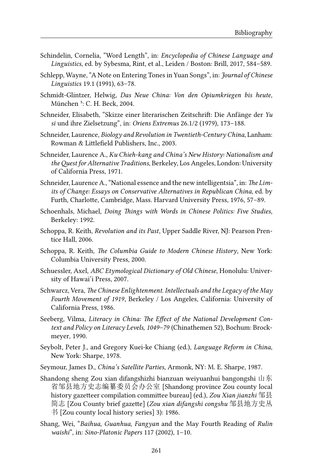- Schindelin, Cornelia, "Word Length", in: *Encyclopedia of Chinese Language and Linguistics*, ed. by Sybesma, Rint, et al., Leiden / Boston: Brill, 2017, 584–589.
- Schlepp, Wayne, "A Note on Entering Tones in Yuan Songs", in: *Journal of Chinese Linguistics* 19.1 (1991), 63–78.
- Schmidt-Glintzer, Helwig, *Das Neue China: Von den Opiumkriegen bis heute*, München <sup>3</sup>: C. H. Beck, 2004.
- Schneider, Elisabeth, "Skizze einer literarischen Zeitschrift: Die Anfänge der *Yu si* und ihre Zielsetzung", in: *Oriens Extremus* 26.1/2 (1979), 173–188.
- Schneider, Laurence, *Biology and Revolution in Twentieth-Century China*, Lanham: Rowman & Littlefield Publishers, Inc., 2003.
- Schneider, Laurence A., *Ku Chieh-kang and China's New History: Nationalism and theQuest for Alternative Traditions*, Berkeley, Los Angeles, London: University of California Press, 1971.
- Schneider, Laurence A., "National essence and the new intelligentsia", in: *The Limits of Change: Essays on Conservative Alternatives in Republican China*, ed. by Furth, Charlotte, Cambridge, Mass. Harvard University Press, 1976, 57–89.
- Schoenhals, Michael, *Doing Things with Words in Chinese Politics: Five Studies*, Berkeley: 1992.
- Schoppa, R. Keith, *Revolution and its Past*, Upper Saddle River, NJ: Pearson Prentice Hall, 2006.
- Schoppa, R. Keith, *The Columbia Guide to Modern Chinese History*, New York: Columbia University Press, 2000.
- Schuessler, Axel, *ABC Etymological Dictionary of Old Chinese*, Honolulu: University of Hawai'i Press, 2007.
- Schwarcz, Vera, *The Chinese Enlightenment. Intellectuals and the Legacy of the May Fourth Movement of 1919*, Berkeley / Los Angeles, California: University of California Press, 1986.
- Seeberg, Vilma, *Literacy in China: The Effect of the National Development Context and Policy on Literacy Levels, 1049–79* (Chinathemen 52), Bochum: Brockmeyer, 1990.
- Seybolt, Peter J., and Gregory Kuei-ke Chiang (ed.), *Language Reform in China*, New York: Sharpe, 1978.
- Seymour, James D., *China's Satellite Parties*, Armonk, NY: M. E. Sharpe, 1987.
- Shandong sheng Zou xian difangshizhi bianzuan weiyuanhui bangongshi 山东 省邹县地方史志编纂委员会办公室 [Shandong province Zou county local history gazetteer compilation committee bureau] (ed.), *Zou Xian jianzhi* 邹县 简志 [Zou County brief gazette] (*Zou xian difangshi congshu* 邹县地方史丛 书 [Zou county local history series] 3): 1986.
- Shang, Wei, "*Baihua*, *Guanhua*, *Fangyan* and the May Fourth Reading of *Rulin waishi*", in: *Sino-Platonic Papers* 117 (2002), 1–10.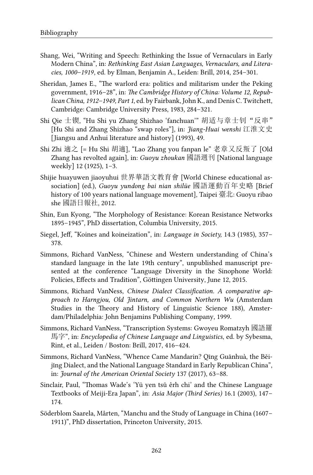- Shang, Wei, "Writing and Speech: Rethinking the Issue of Vernaculars in Early Modern China", in: *Rethinking East Asian Languages, Vernaculars, and Literacies, 1000–1919*, ed. by Elman, Benjamin A., Leiden: Brill, 2014, 254–301.
- Sheridan, James E., "The warlord era: politics and militarism under the Peking government, 1916–28", in: *The Cambridge History of China: Volume 12, Republican China, 1912–1949, Part 1*, ed. by Fairbank, John K., and Denis C. Twitchett, Cambridge: Cambridge University Press, 1983, 284–321.
- Shi Qie 士锲, "Hu Shi yu Zhang Shizhao 'fanchuan'" 胡适与章士钊"反串" [Hu Shi and Zhang Shizhao "swap roles"], in: *Jiang-Huai wenshi* 江淮文史 [Jiangsu and Anhui literature and history] (1993), 49.
- Shi Zhi 適之 [= Hu Shi 胡適], "Lao Zhang you fanpan le" 老章又反叛了 [Old Zhang has revolted again], in: *Guoyu zhoukan* 國語週刊 [National language weekly] 12 (1925), 1–3.
- Shijie huayuwen jiaoyuhui 世界華語文教育會 [World Chinese educational association] (ed.), *Guoyu yundong bai nian shilüe* 國語運動百年史略 [Brief history of 100 years national language movement], Taipei 臺北: Guoyu ribao she 國語日報社, 2012.
- Shin, Eun Kyong, "The Morphology of Resistance: Korean Resistance Networks 1895–1945", PhD dissertation, Columbia University, 2015.
- Siegel, Jeff, "Koines and koineization", in: *Language in Society,* 14.3 (1985), 357– 378.
- Simmons, Richard VanNess, "Chinese and Western understanding of China's standard language in the late 19th century", unpublished manuscript presented at the conference "Language Diversity in the Sinophone World: Policies, Effects and Tradition", Göttingen University, June 12, 2015.
- Simmons, Richard VanNess, *Chinese Dialect Classification. A comparative approach to Harngjou, Old Jintarn, and Common Northern Wu* (Amsterdam Studies in the Theory and History of Linguistic Science 188), Amsterdam/Philadelphia: John Benjamins Publishing Company, 1999.
- Simmons, Richard VanNess, "Transcription Systems: Gwoyeu Romatzyh 國語羅 馬字", in: *Encyclopedia of Chinese Language and Linguistics*, ed. by Sybesma, Rint, et al., Leiden / Boston: Brill, 2017, 416–424.
- Simmons, Richard VanNess, "Whence Came Mandarin? Qīng Guānhuà, the Běijīng Dialect, and the National Language Standard in Early Republican China", in: *Journal of the American Oriental Society* 137 (2017), 63–88.
- Sinclair, Paul, "Thomas Wade's 'Yü yen tsǔ êrh chi' and the Chinese Language Textbooks of Meiji-Era Japan", in: *Asia Major (Third Series)* 16.1 (2003), 147– 174.
- Söderblom Saarela, Mårten, "Manchu and the Study of Language in China (1607– 1911)", PhD dissertation, Princeton University, 2015.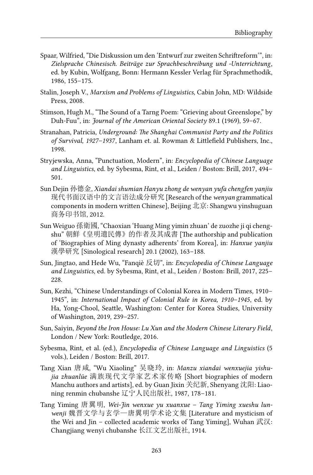- Spaar, Wilfried, "Die Diskussion um den 'Entwurf zur zweiten Schriftreform'", in: *Zielsprache Chinesisch. Beiträge zur Sprachbeschreibung und -Unterrichtung*, ed. by Kubin, Wolfgang, Bonn: Hermann Kessler Verlag für Sprachmethodik, 1986, 155–175.
- Stalin, Joseph V., *Marxism and Problems of Linguistics*, Cabin John, MD: Wildside Press, 2008.
- Stimson, Hugh M., "The Sound of a Tarng Poem: "Grieving about Greenslope," by Duh-Fuu", in: *Journal of the American Oriental Society* 89.1 (1969), 59–67.
- Stranahan, Patricia, *Underground: The Shanghai Communist Party and the Politics of Survival, 1927–1937*, Lanham et. al. Rowman & Littlefield Publishers, Inc., 1998.
- Stryjewska, Anna, "Punctuation, Modern", in: *Encyclopedia of Chinese Language and Linguistics*, ed. by Sybesma, Rint, et al., Leiden / Boston: Brill, 2017, 494– 501.
- Sun Dejin 孙德金, *Xiandai shumian Hanyu zhong de wenyan yufa chengfen yanjiu* 现代书面汉语中的文言语法成分研究 [Research of the *wenyan* grammatical components in modern written Chinese], Beijing 北京: Shangwu yinshuguan 商务印书馆, 2012.
- Sun Weiguo 孫衛國, "Chaoxian 'Huang Ming yimin zhuan' de zuozhe ji qi chengshu" 朝鮮《皇明遺民傳》的作者及其成書 [The authorship and publication of 'Biographies of Ming dynasty adherents' from Korea], in: *Hanxue yanjiu* 漢學研究 [Sinological research] 20.1 (2002), 163–188.
- Sun, Jingtao, and Hede Wu, "Fanqiè 反切", in: *Encyclopedia of Chinese Language and Linguistics*, ed. by Sybesma, Rint, et al., Leiden / Boston: Brill, 2017, 225– 228.
- Sun, Kezhi, "Chinese Understandings of Colonial Korea in Modern Times, 1910– 1945", in: *International Impact of Colonial Rule in Korea, 1910–1945*, ed. by Ha, Yong-Chool, Seattle, Washington: Center for Korea Studies, University of Washington, 2019, 239–257.
- Sun, Saiyin, *Beyond the Iron House: Lu Xun and the Modern Chinese Literary Field*, London / New York: Routledge, 2016.
- Sybesma, Rint, et al. (ed.), *Encyclopedia of Chinese Language and Linguistics* (5 vols.), Leiden / Boston: Brill, 2017.
- Tang Xian 唐咸, "Wu Xiaoling" 吴晓玲, in: *Manzu xiandai wenxuejia yishujia zhuanlüe* 满族现代文学家艺术家传略 [Short biographies of modern Manchu authors and artists], ed. by Guan Jixin 关纪新, Shenyang 沈阳: Liaoning renmin chubanshe 辽宁人民出版社, 1987, 178–181.
- Tang Yiming 唐翼明, *Wei-Jin wenxue yu xuanxue Tang Yiming xueshu lunwenji* 魏晋文学与玄学—唐翼明学术论文集 [Literature and mysticism of the Wei and Jin – collected academic works of Tang Yiming], Wuhan 武汉: Changjiang wenyi chubanshe 长江文艺出版社, 1914.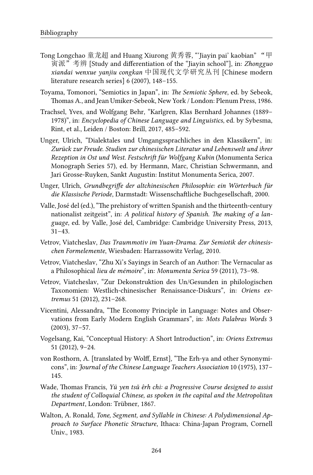- Tong Longchao 童龙超 and Huang Xiurong 黄秀蓉, "'Jiayin pai' kaobian" "甲 寅派"考辨 [Study and differentiation of the "Jiayin school"], in: *Zhongguo xiandai wenxue yanjiu congkan* 中国现代文学研究丛刊 [Chinese modern literature research series] 6 (2007), 148–155.
- Toyama, Tomonori, "Semiotics in Japan", in: *The Semiotic Sphere*, ed. by Sebeok, Thomas A., and Jean Umiker-Sebeok, New York / London: Plenum Press, 1986.
- Trachsel, Yves, and Wolfgang Behr, "Karlgren, Klas Bernhard Johannes (1889– 1978)", in: *Encyclopedia of Chinese Language and Linguistics*, ed. by Sybesma, Rint, et al., Leiden / Boston: Brill, 2017, 485–592.
- Unger, Ulrich, "Dialektales und Umgangssprachliches in den Klassikern", in: *Zurück zur Freude. Studien zur chinesischen Literatur und Lebenswelt und ihrer Rezeption in Ost und West. Festschrift für Wolfgang Kubin* (Monumenta Serica Monograph Series 57), ed. by Hermann, Marc, Christian Schwermann, and Jari Grosse-Ruyken, Sankt Augustin: Institut Monumenta Serica, 2007.
- Unger, Ulrich, *Grundbegriffe der altchinesischen Philosophie: ein Wörterbuch für die Klassische Periode*, Darmstadt: Wissenschaftliche Buchgesellschaft, 2000.
- Valle, José del (ed.), "The prehistory of written Spanish and the thirteenth-century nationalist zeitgeist", in: *A political history of Spanish. The making of a language*, ed. by Valle, José del, Cambridge: Cambridge University Press, 2013, 31–43.
- Vetrov, Viatcheslav, *Das Traummotiv im Yuan-Drama. Zur Semiotik der chinesischen Formelemente*, Wiesbaden: Harrassowitz Verlag, 2010.
- Vetrov, Viatcheslav, "Zhu Xi's Sayings in Search of an Author: The Vernacular as a Philosophical *lieu de mémoire*", in: *Monumenta Serica* 59 (2011), 73–98.
- Vetrov, Viatcheslav, "Zur Dekonstruktion des Un/Gesunden in philologischen Taxonomien: Westlich-chinesischer Renaissance-Diskurs", in: *Oriens extremus* 51 (2012), 231–268.
- Vicentini, Alessandra, "The Economy Principle in Language: Notes and Observations from Early Modern English Grammars", in: *Mots Palabras Words* 3 (2003), 37–57.
- Vogelsang, Kai, "Conceptual History: A Short Introduction", in: *Oriens Extremus* 51 (2012), 9–24.
- von Rosthorn, A. [translated by Wolff, Ernst], "The Erh-ya and other Synonymicons", in: *Journal of the Chinese Language Teachers Association* 10 (1975), 137– 145.
- Wade, Thomas Francis, *Yü yen tsǔ êrh chi: a Progressive Course designed to assist the student of Colloquial Chinese, as spoken in the capital and the Metropolitan Department*, London: Trübner, 1867.
- Walton, A. Ronald, *Tone, Segment, and Syllable in Chinese: A Polydimensional Approach to Surface Phonetic Structure*, Ithaca: China-Japan Program, Cornell Univ., 1983.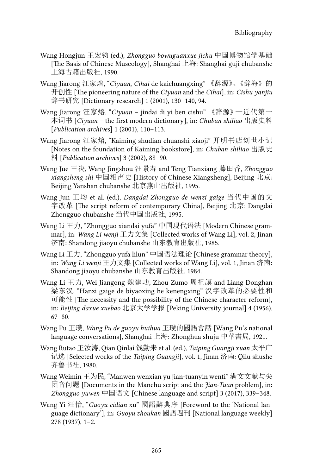- Wang Hongjun 王宏钧 (ed.), *Zhongguo bowuguanxue jichu* 中国博物馆学基础 [The Basis of Chinese Museology], Shanghai 上海: Shanghai guji chubanshe 上海古籍出版社, 1990.
- Wang Jiarong 汪家熔, "*Ciyuan*, *Cihai* de kaichuangxing" 《辞源》、《辞海》的 开创性 [The pioneering nature of the *Ciyuan* and the *Cihai*], in: *Cishu yanjiu* 辞书研究 [Dictionary research] 1 (2001), 130–140, 94.
- Wang Jiarong 汪家熔, "*Ciyuan* jindai di yi ben cishu" 《辞源》—近代第一 本词书 [*Ciyuan* – the first modern dictionary], in: *Chuban shiliao* 出版史料 [*Publication archives*] 1 (2001), 110–113.
- Wang Jiarong 汪家熔, "Kaiming shudian chuanshi xiaoji" 开明书店创世小记 [Notes on the foundation of Kaiming bookstore], in: *Chuban shiliao* 出版史 料 [*Publication archives*] 3 (2002), 88–90.
- Wang Jue 王决, Wang Jingshou 汪景寿 and Teng Tianxiang 藤田香, *Zhongguo xiangsheng shi* 中国相声史 [History of Chinese Xiangsheng], Beijing 北京: Beijing Yanshan chubanshe 北京燕山出版社, 1995.
- Wang Jun 王均 et al. (ed.), *Dangdai Zhongguo de wenzi gaige* 当代中国的文 字改革 [The script reform of contemporary China], Beijing 北京: Dangdai Zhongguo chubanshe 当代中国出版社, 1995.
- Wang Li 王力, "Zhongguo xiandai yufa" 中国现代语法 [Modern Chinese grammar], in: *Wang Li wenji* 王力文集 [Collected works of Wang Li], vol. 2, Jinan 济南: Shandong jiaoyu chubanshe 山东教育出版社, 1985.
- Wang Li 王力, "Zhongguo yufa lilun" 中国语法理论 [Chinese grammar theory], in: *Wang Li wenji* 王力文集 [Collected works of Wang Li], vol. 1, Jinan 济南: Shandong jiaoyu chubanshe 山东教育出版社, 1984.
- Wang Li 王力, Wei Jiangong 魏建功, Zhou Zumo 周祖謨 and Liang Donghan 梁东汉, "Hanzi gaige de biyaoxing he kenengxing" 汉字改革的必要性和 可能性 [The necessity and the possibility of the Chinese character reform], in: *Beijing daxue xuebao* 北京大学学报 [Peking University journal] 4 (1956), 67–80.
- Wang Pu 王璞, *Wang Pu de guoyu huihua* 王璞的國語會話 [Wang Pu's national language conversations], Shanghai 上海: Zhonghua shuju 中華書局, 1921.
- Wang Rutao 王汝涛, Qian Qinlai 钱勤来 et al. (ed.), *Taiping Guangji xuan* 太平广 记选 [Selected works of the *Taiping Guangji*], vol. 1, Jinan 济南: Qilu shushe 齐鲁书社, 1980.
- Wang Weimin 王为民, "Manwen wenxian yu jian-tuanyin wenti" 满文文献与尖 团音问题 [Documents in the Manchu script and the *Jian-Tuan* problem], in: *Zhongguo yuwen* 中国语文 [Chinese language and script] 3 (2017), 339–348.
- Wang Yi 汪怡, "*Guoyu cidian* xu" 國語辭典序 [Foreword to the 'National language dictionary'], in: *Guoyu zhoukan* 國語週刊 [National language weekly] 278 (1937), 1–2.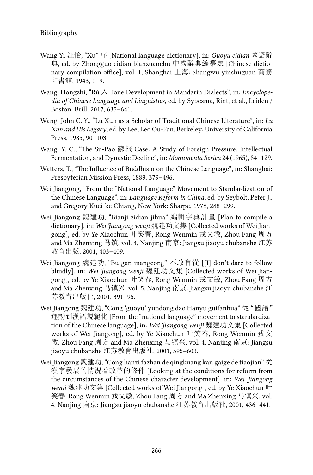- Wang Yi 汪怡, "Xu" 序 [National language dictionary], in: *Guoyu cidian* 國語辭 典, ed. by Zhongguo cidian bianzuanchu 中國辭典編纂處 [Chinese dictionary compilation office], vol. 1, Shanghai 上海: Shangwu yinshuguan 商務 印書館, 1943, 1–9.
- Wang, Hongzhi, "Rù 入 Tone Development in Mandarin Dialects", in: *Encyclopedia of Chinese Language and Linguistics*, ed. by Sybesma, Rint, et al., Leiden / Boston: Brill, 2017, 635–641.
- Wang, John C. Y., "Lu Xun as a Scholar of Traditional Chinese Literature", in: *Lu Xun and His Legacy*, ed. by Lee, Leo Ou-Fan, Berkeley: University of California Press, 1985, 90–103.
- Wang, Y. C., "The Su-Pao 蘇報 Case: A Study of Foreign Pressure, Intellectual Fermentation, and Dynastic Decline", in: *Monumenta Serica* 24 (1965), 84–129.
- Watters, T., "The Influence of Buddhism on the Chinese Language", in: Shanghai: Presbyterian Mission Press, 1889, 379–496.
- Wei Jiangong, "From the "National Language" Movement to Standardization of the Chinese Language", in: *Language Reform in China*, ed. by Seybolt, Peter J., and Gregory Kuei-ke Chiang, New York: Sharpe, 1978, 288–299.
- Wei Jiangong 魏建功, "Bianji zidian jihua" 編輯字典計畫 [Plan to compile a dictionary], in: *Wei Jiangong wenji* 魏建功文集 [Collected works of Wei Jiangong], ed. by Ye Xiaochun 叶笑春, Rong Wenmin 戎文敏, Zhou Fang 周方 and Ma Zhenxing 马镇, vol. 4, Nanjing 南京: Jiangsu jiaoyu chubanshe 江苏 教育出版, 2001, 403–409.
- Wei Jiangong 魏建功, "Bu gan mangcong" 不敢盲從 [[I] don't dare to follow blindly], in: *Wei Jiangong wenji* 魏建功文集 [Collected works of Wei Jiangong], ed. by Ye Xiaochun 叶笑春, Rong Wenmin 戎文敏, Zhou Fang 周方 and Ma Zhenxing 马镇兴, vol. 5, Nanjing 南京: Jiangsu jiaoyu chubanshe 江 苏教育出版社, 2001, 391–95.
- Wei Jiangong 魏建功, "Cong 'guoyu' yundong dao Hanyu guifanhua" 從 "國語" 運動到漢語規範化 [From the "national language" movement to standardization of the Chinese language], in: *Wei Jiangong wenji* 魏建功文集 [Collected works of Wei Jiangong], ed. by Ye Xiaochun 叶笑春, Rong Wenmin 戎文 敏, Zhou Fang 周方 and Ma Zhenxing 马镇兴, vol. 4, Nanjing 南京: Jiangsu jiaoyu chubanshe 江苏教育出版社, 2001, 595–603.
- Wei Jiangong 魏建功, "Cong hanzi fazhan de qingkuang kan gaige de tiaojian" 從 漢字發展的情況看改革的條件 [Looking at the conditions for reform from the circumstances of the Chinese character development], in: *Wei Jiangong wenji* 魏建功文集 [Collected works of Wei Jiangong], ed. by Ye Xiaochun 叶 笑春, Rong Wenmin 戎文敏, Zhou Fang 周方 and Ma Zhenxing 马镇兴, vol. 4, Nanjing 南京: Jiangsu jiaoyu chubanshe 江苏教育出版社, 2001, 436–441.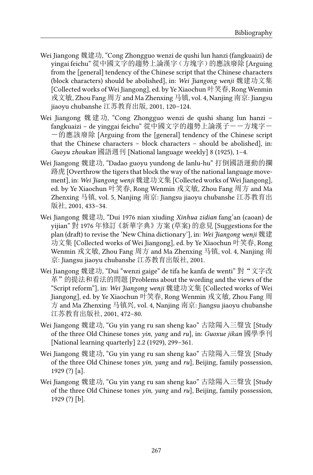- Wei Jiangong 魏建功, "Cong Zhongguo wenzi de qushi lun hanzi (fangkuaizi) de yingai feichu" 從中國文字的趨勢上論漢字(方塊字)的應該廢除 [Arguing from the [general] tendency of the Chinese script that the Chinese characters (block characters) should be abolished], in: *Wei Jiangong wenji* 魏建功文集 [Collected works of Wei Jiangong], ed. by Ye Xiaochun 叶笑春, Rong Wenmin 戎文敏, Zhou Fang 周方 and Ma Zhenxing 马镇, vol. 4, Nanjing 南京: Jiangsu jiaoyu chubanshe 江苏教育出版, 2001, 120–124.
- Wei Jiangong 魏建功, "Cong Zhongguo wenzi de qushi shang lun hanzi fangkuaizi – de yinggai feichu" 從中國文字的趨勢上論漢子——方塊字— -的應該廢除 [Arguing from the [general] tendency of the Chinese script that the Chinese characters – block characters – should be abolished], in: *Guoyu zhoukan* 國語週刊 [National language weekly] 8 (1925), 1–4.
- Wei Jiangong 魏建功, "Dadao guoyu yundong de lanlu-hu" 打倒國語運動的攔 路虎 [Overthrow the tigers that block the way of the national language movement], in: *Wei Jiangong wenji* 魏建功文集 [Collected works of Wei Jiangong], ed. by Ye Xiaochun 叶笑春, Rong Wenmin 戎文敏, Zhou Fang 周方 and Ma Zhenxing 马镇, vol. 5, Nanjing 南京: Jiangsu jiaoyu chubanshe 江苏教育出 版社, 2001, 433–34.
- Wei Jiangong 魏建功, "Dui 1976 nian xiuding *Xinhua zidian* fang'an (caoan) de yijian" 對 1976 年修訂《新華字典》方案 (草案) 的意見 [Suggestions for the plan (draft) to revise the 'New China dictionary'], in: *Wei Jiangong wenji* 魏建 功文集 [Collected works of Wei Jiangong], ed. by Ye Xiaochun 叶笑春, Rong Wenmin 戎文敏, Zhou Fang 周方 and Ma Zhenxing 马镇, vol. 4, Nanjing 南 京: Jiangsu jiaoyu chubanshe 江苏教育出版社, 2001.
- Wei Jiangong 魏建功, "Dui "wenzi gaige" de tifa he kanfa de wenti" 對"文字改 革"的提法和看法的問題 [Problems about the wording and the views of the "Script reform"], in: *Wei Jiangong wenji* 魏建功文集 [Collected works of Wei Jiangong], ed. by Ye Xiaochun 叶笑春, Rong Wenmin 戎文敏, Zhou Fang 周 方 and Ma Zhenxing 马镇兴, vol. 4, Nanjing 南京: Jiangsu jiaoyu chubanshe 江苏教育出版社, 2001, 472–80.
- Wei Jiangong 魏建功, "Gu yin yang ru san sheng kao" 古陰陽入三聲攷 [Study of the three Old Chinese tones *yin*, *yang* and *ru*], in: *Guoxue jikan* 國學季刊 [National learning quarterly] 2.2 (1929), 299–361.
- Wei Jiangong 魏建功, "Gu yin yang ru san sheng kao" 古陰陽入三聲攷 [Study of the three Old Chinese tones *yin*, *yang* and *ru*], Beijing, family possession, 1929 (?) [a].
- Wei Jiangong 魏建功, "Gu yin yang ru san sheng kao" 古陰陽入三聲攷 [Study of the three Old Chinese tones *yin*, *yang* and *ru*], Beijing, family possession, 1929 (?) [b].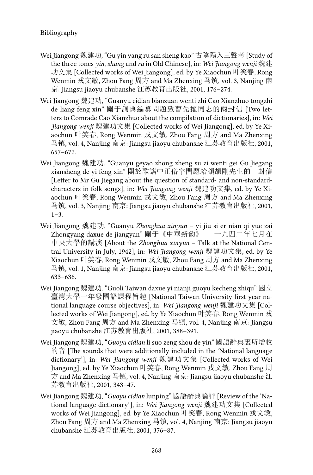- Wei Jiangong 魏建功, "Gu yin yang ru san sheng kao" 古陰陽入三聲考 [Study of the three tones *yin*, *shang* and *ru* in Old Chinese], in: *Wei Jiangong wenji* 魏建 功文集 [Collected works of Wei Jiangong], ed. by Ye Xiaochun 叶笑春, Rong Wenmin 戎文敏, Zhou Fang 周方 and Ma Zhenxing 马镇, vol. 3, Nanjing 南 京: Jiangsu jiaoyu chubanshe 江苏教育出版社, 2001, 176–274.
- Wei Jiangong 魏建功, "Guanyu cidian bianzuan wenti zhi Cao Xianzhuo tongzhi de liang feng xin" 關于詞典編纂問題致曹先擢同志的兩封信 [Two letters to Comrade Cao Xianzhuo about the compilation of dictionaries], in: *Wei Jiangong wenji* 魏建功文集 [Collected works of Wei Jiangong], ed. by Ye Xiaochun 叶笑春, Rong Wenmin 戎文敏, Zhou Fang 周方 and Ma Zhenxing 马镇, vol. 4, Nanjing 南京: Jiangsu jiaoyu chubanshe 江苏教育出版社, 2001, 657–672.
- Wei Jiangong 魏建功, "Guanyu geyao zhong zheng su zi wenti gei Gu Jiegang xiansheng de yi feng xin" 關於歌謠中正俗字問題給顧頡剛先生的一封信 [Letter to Mr Gu Jiegang about the question of standard- and non-standardcharacters in folk songs], in: *Wei Jiangong wenji* 魏建功文集, ed. by Ye Xiaochun 叶笑春, Rong Wenmin 戎文敏, Zhou Fang 周方 and Ma Zhenxing 马镇, vol. 3, Nanjing 南京: Jiangsu jiaoyu chubanshe 江苏教育出版社, 2001,  $1 - 3$ .
- Wei Jiangong 魏建功, "Guanyu *Zhonghua xinyun* yi jiu si er nian qi yue zai Zhongyang daxue de jiangyan" 關于《中華新韵》——一九四二年七月在 中央大學的講演 [About the *Zhonghua xinyun* – Talk at the National Central University in July, 1942], in: *Wei Jiangong wenji* 魏建功文集, ed. by Ye Xiaochun 叶笑春, Rong Wenmin 戎文敏, Zhou Fang 周方 and Ma Zhenxing 马镇, vol. 1, Nanjing 南京: Jiangsu jiaoyu chubanshe 江苏教育出版社, 2001, 633–636.
- Wei Jiangong 魏建功, "Guoli Taiwan daxue yi nianji guoyu kecheng zhiqu" 國立 臺灣大學一年級國語課程旨趣 [National Taiwan University first year national language course objectives], in: *Wei Jiangong wenji* 魏建功文集 [Collected works of Wei Jiangong], ed. by Ye Xiaochun 叶笑春, Rong Wenmin 戎 文敏, Zhou Fang 周方 and Ma Zhenxing 马镇, vol. 4, Nanjing 南京: Jiangsu jiaoyu chubanshe 江苏教育出版社, 2001, 388–391.
- Wei Jiangong 魏建功, "*Guoyu cidian* li suo zeng shou de yin" 國語辭典裏所增收 的音 [The sounds that were additionally included in the 'National language dictionary'], in: *Wei Jiangong wenji* 魏建功文集 [Collected works of Wei Jiangong], ed. by Ye Xiaochun 叶笑春, Rong Wenmin 戎文敏, Zhou Fang 周 方 and Ma Zhenxing 马镇, vol. 4, Nanjing 南京: Jiangsu jiaoyu chubanshe 江 苏教育出版社, 2001, 343–47.
- Wei Jiangong 魏建功, "*Guoyu cidian* lunping" 國語辭典論評 [Review of the 'National language dictionary'], in: *Wei Jiangong wenji* 魏建功文集 [Collected works of Wei Jiangong], ed. by Ye Xiaochun 叶笑春, Rong Wenmin 戎文敏, Zhou Fang 周方 and Ma Zhenxing 马镇, vol. 4, Nanjing 南京: Jiangsu jiaoyu chubanshe 江苏教育出版社, 2001, 376–87.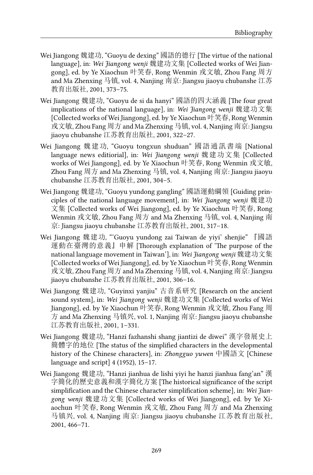- Wei Jiangong 魏建功, "Guoyu de dexing" 國語的德行 [The virtue of the national language], in: *Wei Jiangong wenji* 魏建功文集 [Collected works of Wei Jiangong], ed. by Ye Xiaochun 叶笑春, Rong Wenmin 戎文敏, Zhou Fang 周方 and Ma Zhenxing 马镇, vol. 4, Nanjing 南京: Jiangsu jiaoyu chubanshe 江苏 教育出版社, 2001, 373–75.
- Wei Jiangong 魏建功, "Guoyu de si da hanyi" 國語的四大涵義 [The four great implications of the national language], in: *Wei Jiangong wenji* 魏建功文集 [Collected works of Wei Jiangong], ed. by Ye Xiaochun 叶笑春, Rong Wenmin 戎文敏, Zhou Fang 周方 and Ma Zhenxing 马镇, vol. 4, Nanjing 南京: Jiangsu jiaoyu chubanshe 江苏教育出版社, 2001, 322–27.
- Wei Jiangong 魏建功, "Guoyu tongxun shuduan" 國語通訊書端 [National language news editiorial], in: *Wei Jiangong wenji* 魏建功文集 [Collected works of Wei Jiangong], ed. by Ye Xiaochun 叶笑春, Rong Wenmin 戎文敏, Zhou Fang 周方 and Ma Zhenxing 马镇, vol. 4, Nanjing 南京: Jiangsu jiaoyu chubanshe 江苏教育出版社, 2001, 304–5.
- Wei Jiangong 魏建功, "Guoyu yundong gangling" 國語運動綱領 [Guiding principles of the national language movement], in: *Wei Jiangong wenji* 魏建功 文集 [Collected works of Wei Jiangong], ed. by Ye Xiaochun 叶笑春, Rong Wenmin 戎文敏, Zhou Fang 周方 and Ma Zhenxing 马镇, vol. 4, Nanjing 南 京: Jiangsu jiaoyu chubanshe 江苏教育出版社, 2001, 317–18.
- Wei Jiangong 魏建功, "'Guoyu yundong zai Taiwan de yiyi' shenjie" 『國語 運動在臺灣的意義』申解 [Thorough explanation of 'The purpose of the national language movement in Taiwan'], in: *Wei Jiangong wenji* 魏建功文集 [Collected works of Wei Jiangong], ed. by Ye Xiaochun 叶笑春, Rong Wenmin 戎文敏, Zhou Fang 周方 and Ma Zhenxing 马镇, vol. 4, Nanjing 南京: Jiangsu jiaoyu chubanshe 江苏教育出版社, 2001, 306–16.
- Wei Jiangong 魏建功, "Guyinxi yanjiu" 古音系研究 [Research on the ancient sound system], in: *Wei Jiangong wenji* 魏建功文集 [Collected works of Wei Jiangong], ed. by Ye Xiaochun 叶笑春, Rong Wenmin 戎文敏, Zhou Fang 周 方 and Ma Zhenxing 马镇兴, vol. 1, Nanjing 南京: Jiangsu jiaoyu chubanshe 江苏教育出版社, 2001, 1–331.
- Wei Jiangong 魏建功, "Hanzi fazhanshi shang jiantizi de diwei" 漢字發展史上 簡體字的地位 [The status of the simplified characters in the developmental history of the Chinese characters], in: *Zhongguo yuwen* 中國語文 [Chinese language and script] 4 (1952), 15–17.
- Wei Jiangong 魏建功, "Hanzi jianhua de lishi yiyi he hanzi jianhua fang'an" 漢 字簡化的歷史意義和漢字簡化方案 [The historical significance of the script simplification and the Chinese character simplification scheme], in: *Wei Jiangong wenji* 魏建功文集 [Collected works of Wei Jiangong], ed. by Ye Xiaochun 叶笑春, Rong Wenmin 戎文敏, Zhou Fang 周方 and Ma Zhenxing 马镇兴, vol. 4, Nanjing 南京: Jiangsu jiaoyu chubanshe 江苏教育出版社, 2001, 466–71.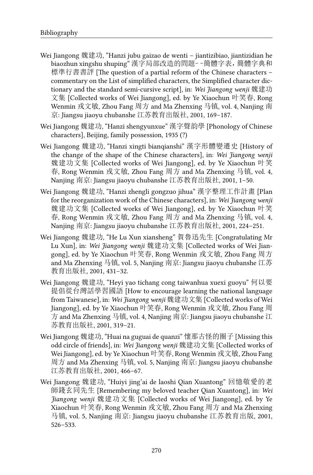- Wei Jiangong 魏建功, "Hanzi jubu gaizao de wenti jiantizibiao, jiantizidian he biaozhun xingshu shuping" 漢字局部改造的問題––簡體字表,簡體字典和 標準行書書評 [The question of a partial reform of the Chinese characters – commentary on the List of simplified characters, the Simplified character dictionary and the standard semi-cursive script], in: *Wei Jiangong wenji* 魏建功 文集 [Collected works of Wei Jiangong], ed. by Ye Xiaochun 叶笑春, Rong Wenmin 戎文敏, Zhou Fang 周方 and Ma Zhenxing 马镇, vol. 4, Nanjing 南 京: Jiangsu jiaoyu chubanshe 江苏教育出版社, 2001, 169–187.
- Wei Jiangong 魏建功, "Hanzi shengyunxue" 漢字聲韵學 [Phonology of Chinese characters], Beijing, family possession, 1935 (?)
- Wei Jiangong 魏建功, "Hanzi xingti bianqianshi" 漢字形體變遷史 [History of the change of the shape of the Chinese characters], in: *Wei Jiangong wenji* 魏建功文集 [Collected works of Wei Jiangong], ed. by Ye Xiaochun 叶笑 春, Rong Wenmin 戎文敏, Zhou Fang 周方 and Ma Zhenxing 马镇, vol. 4, Nanjing 南京: Jiangsu jiaoyu chubanshe 江苏教育出版社, 2001, 1–50.
- Wei Jiangong 魏建功, "Hanzi zhengli gongzuo jihua" 漢字整理工作計畫 [Plan for the reorganization work of the Chinese characters], in: *Wei Jiangong wenji* 魏建功文集 [Collected works of Wei Jiangong], ed. by Ye Xiaochun 叶笑 春, Rong Wenmin 戎文敏, Zhou Fang 周方 and Ma Zhenxing 马镇, vol. 4, Nanjing 南京: Jiangsu jiaoyu chubanshe 江苏教育出版社, 2001, 224–251.
- Wei Jiangong 魏建功, "He Lu Xun xiansheng" 賀魯迅先生 [Congratulating Mr Lu Xun], in: *Wei Jiangong wenji* 魏建功文集 [Collected works of Wei Jiangong], ed. by Ye Xiaochun 叶笑春, Rong Wenmin 戎文敏, Zhou Fang 周方 and Ma Zhenxing 马镇, vol. 5, Nanjing 南京: Jiangsu jiaoyu chubanshe 江苏 教育出版社, 2001, 431–32.
- Wei Jiangong 魏建功, "Heyi yao tichang cong taiwanhua xuexi guoyu" 何以要 提倡從台灣話學習國語 [How to encourage learning the national language from Taiwanese], in: *Wei Jiangong wenji* 魏建功文集 [Collected works of Wei Jiangong], ed. by Ye Xiaochun 叶笑春, Rong Wenmin 戎文敏, Zhou Fang 周 方 and Ma Zhenxing 马镇, vol. 4, Nanjing 南京: Jiangsu jiaoyu chubanshe 江 苏教育出版社, 2001, 319–21.
- Wei Jiangong 魏建功, "Huai na guguai de quanzi" 懷那古怪的圈子 [Missing this odd circle of friends], in: *Wei Jiangong wenji* 魏建功文集 [Collected works of Wei Jiangong], ed. by Ye Xiaochun 叶笑春, Rong Wenmin 戎文敏, Zhou Fang 周方 and Ma Zhenxing 马镇, vol. 5, Nanjing 南京: Jiangsu jiaoyu chubanshe 江苏教育出版社, 2001, 466–67.
- Wei Jiangong 魏建功, "Huiyi jing'ai de laoshi Qian Xuantong" 回憶敬愛的老 師錢玄同先生 [Remembering my beloved teacher Qian Xuantong], in: *Wei Jiangong wenji* 魏建功文集 [Collected works of Wei Jiangong], ed. by Ye Xiaochun 叶笑春, Rong Wenmin 戎文敏, Zhou Fang 周方 and Ma Zhenxing 马镇, vol. 5, Nanjing 南京: Jiangsu jiaoyu chubanshe 江苏教育出版, 2001, 526–533.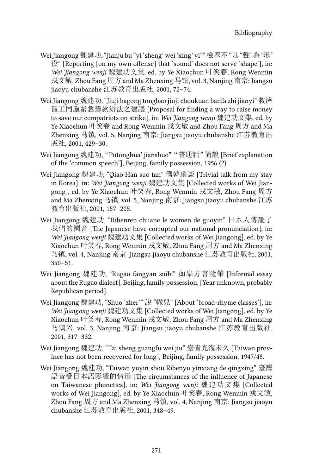- Wei Jiangong 魏建功, "Jianju bu "yi 'sheng' wei 'xing' yi"" 檢舉不 "以 "聲' 為 '形' 役" [Reporting [on my own offense] that 'sound' does not serve 'shape'], in: *Wei Jiangong wenji* 魏建功文集, ed. by Ye Xiaochun 叶笑春, Rong Wenmin 戎文敏, Zhou Fang 周方 and Ma Zhenxing 马镇, vol. 3, Nanjing 南京: Jiangsu jiaoyu chubanshe 江苏教育出版社, 2001, 72–74.
- Wei Jiangong 魏建功, "Jiuji bagong tongbao jinji choukuan banfa zhi jianyi" 救濟 罷工同胞緊急籌款辦法之建議 [Proposal for finding a way to raise money to save our compatriots on strike], in: *Wei Jiangong wenji* 魏建功文集, ed. by Ye Xiaochun 叶笑春 and Rong Wenmin 戎文敏 and Zhou Fang 周方 and Ma Zhenxing 马镇, vol. 5, Nanjing 南京: Jiangsu jiaoyu chubanshe 江苏教育出 版社, 2001, 429–30.
- Wei Jiangong 魏建功, "'Putonghua' jianshuo" "普通話" 简說 [Brief explanation of the 'common speech'], Beijing, family possession, 1956 (?)
- Wei Jiangong 魏建功, "Oiao Han suo tan" 僑韓瑣談 [Trivial talk from my stay in Korea], in: *Wei Jiangong wenji* 魏建功文集 [Collected works of Wei Jiangong], ed. by Ye Xiaochun 叶笑春, Rong Wenmin 戎文敏, Zhou Fang 周方 and Ma Zhenxing 马镇, vol. 5, Nanjing 南京: Jiangsu jiaoyu chubanshe 江苏 教育出版社, 2001, 157–205.
- Wei Jiangong 魏建功, "Ribenren chuane le women de guoyin" 日本人傳訛了 我們的國音 [The Japanese have corrupted our national pronunciation], in: *Wei Jiangong wenji* 魏建功文集 [Collected works of Wei Jiangong], ed. by Ye Xiaochun 叶笑春, Rong Wenmin 戎文敏, Zhou Fang 周方 and Ma Zhenxing 马镇, vol. 4, Nanjing 南京: Jiangsu jiaoyu chubanshe 江苏教育出版社, 2001,  $350 - 51.$
- Wei Jiangong 魏建功, "Rugao fangyan suibi" 如皋方言隨筆 [Informal essay about the Rugao dialect], Beijing, family possession, [Year unknown, probably Republican period].
- Wei Jiangong 魏建功, "Shuo 'zher'" 說 "轍兒" [About 'broad-rhyme classes'], in: *Wei Jiangong wenji* 魏建功文集 [Collected works of Wei Jiangong], ed. by Ye Xiaochun 叶笑春, Rong Wenmin 戎文敏, Zhou Fang 周方 and Ma Zhenxing 马镇兴, vol. 3, Nanjing 南京: Jiangsu jiaoyu chubanshe 江苏教育出版社, 2001, 317–332.
- Wei Jiangong 魏建功, "Tai sheng guangfu wei jiu" 臺省光復未久 [Taiwan province has not been recovered for long], Beijing, family possession, 1947/48.
- Wei Jiangong 魏建功, "Taiwan yuyin shou Ribenyu yinxiang de qingxing" 臺灣 語音受日本語影響的情形 [The circumstances of the influence of Japanese on Taiwanese phonetics], in: *Wei Jiangong wenji* 魏建功文集 [Collected works of Wei Jiangong], ed. by Ye Xiaochun 叶笑春, Rong Wenmin 戎文敏, Zhou Fang 周方 and Ma Zhenxing 马镇, vol. 4, Nanjing 南京: Jiangsu jiaoyu chubanshe 江苏教育出版社, 2001, 348–49.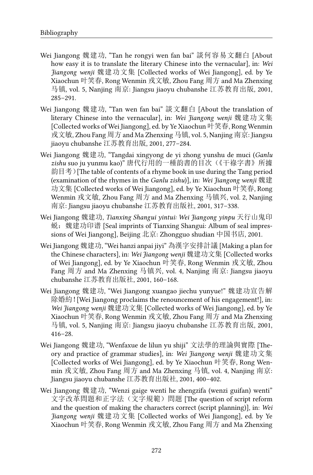- Wei Jiangong 魏建功, "Tan he rongyi wen fan bai" 談何容易文翻白 [About how easy it is to translate the literary Chinese into the vernacular], in: *Wei Jiangong wenji* 魏建功文集 [Collected works of Wei Jiangong], ed. by Ye Xiaochun 叶笑春, Rong Wenmin 戎文敏, Zhou Fang 周方 and Ma Zhenxing 马镇, vol. 5, Nanjing 南京: Jiangsu jiaoyu chubanshe 江苏教育出版, 2001, 285–291.
- Wei Jiangong 魏建功, "Tan wen fan bai" 談文翻白 [About the translation of literary Chinese into the vernacular], in: *Wei Jiangong wenji* 魏建功文集 [Collected works of Wei Jiangong], ed. by Ye Xiaochun 叶笑春, Rong Wenmin 戎文敏, Zhou Fang 周方 and Ma Zhenxing 马镇, vol. 5, Nanjing 南京: Jiangsu jiaoyu chubanshe 江苏教育出版, 2001, 277–284.
- Wei Jiangong 魏建功, "Tangdai xingyong de yi zhong yunshu de muci (*Ganlu zishu* suo ju yunmu kao)" 唐代行用的一種韵書的目次(《干祿字書》所據 韵目考)[The table of contents of a rhyme book in use during the Tang period (examination of the rhymes in the *Ganlu zishu*)], in: *Wei Jiangong wenji* 魏建 功文集 [Collected works of Wei Jiangong], ed. by Ye Xiaochun 叶笑春, Rong Wenmin 戎文敏, Zhou Fang 周方 and Ma Zhenxing 马镇兴, vol. 2, Nanjing 南京: Jiangsu jiaoyu chubanshe 江苏教育出版社, 2001, 317–338.
- Wei Jiangong 魏建功, *Tianxing Shangui yintui: Wei Jiangong yinpu* 天行山鬼印 蜕:魏建功印谱 [Seal imprints of Tianxing Shangui: Album of seal impressions of Wei Jiangong], Beijing 北京: Zhongguo shudian 中国书店, 2001.
- Wei Jiangong 魏建功, "Wei hanzi anpai jiyi" 為漢字安排計議 [Making a plan for the Chinese characters], in: *Wei Jiangong wenji* 魏建功文集 [Collected works of Wei Jiangong], ed. by Ye Xiaochun 叶笑春, Rong Wenmin 戎文敏, Zhou Fang 周方 and Ma Zhenxing 马镇兴, vol. 4, Nanjing 南京: Jiangsu jiaoyu chubanshe 江苏教育出版社, 2001, 160–168.
- Wei Jiangong 魏建功, "Wei Jiangong xuangao jiechu yunyue!" 魏建功宣告解 除婚約![Wei Jiangong proclaims the renouncement of his engagement!], in: *Wei Jiangong wenji* 魏建功文集 [Collected works of Wei Jiangong], ed. by Ye Xiaochun 叶笑春, Rong Wenmin 戎文敏, Zhou Fang 周方 and Ma Zhenxing 马镇, vol. 5, Nanjing 南京: Jiangsu jiaoyu chubanshe 江苏教育出版, 2001, 416–28.
- Wei Jiangong 魏建功, "Wenfaxue de lilun yu shiji" 文法學的理論與實際 [Theory and practice of grammar studies], in: *Wei Jiangong wenji* 魏建功文集 [Collected works of Wei Jiangong], ed. by Ye Xiaochun 叶笑春, Rong Wenmin 戎文敏, Zhou Fang 周方 and Ma Zhenxing 马镇, vol. 4, Nanjing 南京: Jiangsu jiaoyu chubanshe 江苏教育出版社, 2001, 400–402.
- Wei Jiangong 魏建功, "Wenzi gaige wenti he zhengzifa (wenzi guifan) wenti" 文字改革問題和正字法(文字規範)問題 [The question of script reform and the question of making the characters correct (script planning)], in: *Wei Jiangong wenji* 魏建功文集 [Collected works of Wei Jiangong], ed. by Ye Xiaochun 叶笑春, Rong Wenmin 戎文敏, Zhou Fang 周方 and Ma Zhenxing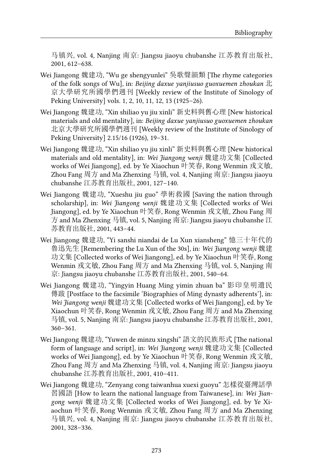马镇兴, vol. 4, Nanjing 南京: Jiangsu jiaoyu chubanshe 江苏教育出版社, 2001, 612–638.

- Wei Jiangong 魏建功, "Wu ge shengyunlei" 吳歌聲韻類 [The rhyme categories of the folk songs of Wu], in: *Beijing daxue yanjiusuo guoxuemen zhoukan* 北 京大學研究所國學們週刊 [Weekly review of the Institute of Sinology of Peking University] vols. 1, 2, 10, 11, 12, 13 (1925–26).
- Wei Jiangong 魏建功, "Xin shiliao yu jiu xinli" 新史料與舊心理 [New historical materials and old mentality], in: *Beijing daxue yanjiusuo guoxuemen zhoukan* 北京大學研究所國學們週刊 [Weekly review of the Institute of Sinology of Peking University] 2.15/16 (1926), 19–31.
- Wei Jiangong 魏建功, "Xin shiliao yu jiu xinli" 新史料與舊心理 [New historical materials and old mentality], in: *Wei Jiangong wenji* 魏建功文集 [Collected works of Wei Jiangong], ed. by Ye Xiaochun 叶笑春, Rong Wenmin 戎文敏, Zhou Fang 周方 and Ma Zhenxing 马镇, vol. 4, Nanjing 南京: Jiangsu jiaoyu chubanshe 江苏教育出版社, 2001, 127–140.
- Wei Jiangong 魏建功, "Xueshu jiu guo" 學術救國 [Saving the nation through scholarship], in: *Wei Jiangong wenji* 魏建功文集 [Collected works of Wei Jiangong], ed. by Ye Xiaochun 叶笑春, Rong Wenmin 戎文敏, Zhou Fang 周 方 and Ma Zhenxing 马镇, vol. 5, Nanjing 南京: Jiangsu jiaoyu chubanshe 江 苏教育出版社, 2001, 443–44.
- Wei Jiangong 魏建功, "Yi sanshi niandai de Lu Xun xiansheng" 憶三十年代的 魯迅先生 [Remembering the Lu Xun of the 30s], in: *Wei Jiangong wenji* 魏建 功文集 [Collected works of Wei Jiangong], ed. by Ye Xiaochun 叶笑春, Rong Wenmin 戎文敏, Zhou Fang 周方 and Ma Zhenxing 马镇, vol. 5, Nanjing 南 京: Jiangsu jiaoyu chubanshe 江苏教育出版社, 2001, 540–64.
- Wei Jiangong 魏建功, "Yingyin Huang Ming yimin zhuan ba" 影印皇明遺民 傳跋 [Postface to the facsimile 'Biographies of Ming dynasty adherents'], in: *Wei Jiangong wenji* 魏建功文集 [Collected works of Wei Jiangong], ed. by Ye Xiaochun 叶笑春, Rong Wenmin 戎文敏, Zhou Fang 周方 and Ma Zhenxing 马镇, vol. 5, Nanjing 南京: Jiangsu jiaoyu chubanshe 江苏教育出版社, 2001, 360–361.
- Wei Jiangong 魏建功, "Yuwen de minzu xingshi" 語文的民族形式 [The national form of language and script], in: *Wei Jiangong wenji* 魏建功文集 [Collected works of Wei Jiangong], ed. by Ye Xiaochun 叶笑春, Rong Wenmin 戎文敏, Zhou Fang 周方 and Ma Zhenxing 马镇, vol. 4, Nanjing 南京: Jiangsu jiaoyu chubanshe 江苏教育出版社, 2001, 410–411.
- Wei Jiangong 魏建功, "Zenyang cong taiwanhua xuexi guoyu" 怎樣從臺灣話學 習國語 [How to learn the national language from Taiwanese], in: *Wei Jiangong wenji* 魏建功文集 [Collected works of Wei Jiangong], ed. by Ye Xiaochun 叶笑春, Rong Wenmin 戎文敏, Zhou Fang 周方 and Ma Zhenxing 马镇兴, vol. 4, Nanjing 南京: Jiangsu jiaoyu chubanshe 江苏教育出版社, 2001, 328–336.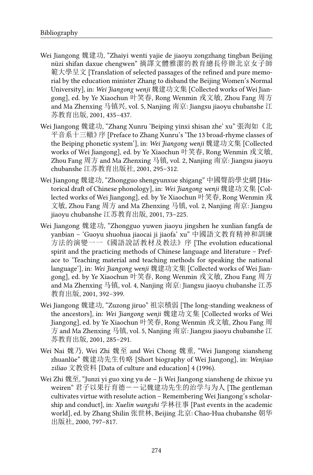- Wei Jiangong 魏建功, "Zhaiyi wenti yajie de jiaoyu zongzhang tingban Beijing nüzi shifan daxue chengwen" 摘譯文體雅潔的教育總長停辦北京女子師 範大學呈文 [Translation of selected passages of the refined and pure memorial by the education minister Zhang to disband the Beijing Women's Normal University], in: *Wei Jiangong wenji* 魏建功文集 [Collected works of Wei Jiangong], ed. by Ye Xiaochun 叶笑春, Rong Wenmin 戎文敏, Zhou Fang 周方 and Ma Zhenxing 马镇兴, vol. 5, Nanjing 南京: Jiangsu jiaoyu chubanshe 江 苏教育出版, 2001, 435–437.
- Wei Jiangong 魏建功, "Zhang Xunru 'Beiping yinxi shisan zhe' xu" 張洵如《北 平音系十三轍》序 [Preface to Zhang Xunru's 'The 13 broad-rhyme classes of the Beiping phonetic system'], in: *Wei Jiangong wenji* 魏建功文集 [Collected works of Wei Jiangong], ed. by Ye Xiaochun 叶笑春, Rong Wenmin 戎文敏, Zhou Fang 周方 and Ma Zhenxing 马镇, vol. 2, Nanjing 南京: Jiangsu jiaoyu chubanshe 江苏教育出版社, 2001, 295–312.
- Wei Jiangong 魏建功, "Zhongguo shengyunxue shigang" 中國聲韵學史網 [Historical draft of Chinese phonology], in: *Wei Jiangong wenji* 魏建功文集 [Collected works of Wei Jiangong], ed. by Ye Xiaochun 叶笑春, Rong Wenmin 戎 文敏, Zhou Fang 周方 and Ma Zhenxing 马镇, vol. 2, Nanjing 南京: Jiangsu jiaoyu chubanshe 江苏教育出版, 2001, 73–225.
- Wei Jiangong 魏建功, "Zhongguo yuwen jiaoyu jingshen he xunlian fangfa de yanbian – 'Guoyu shuohua jiaocai ji jiaofa' xu" 中國語文教育精神和訓練 方法的演變一一《國語說話教材及教法》序 [The evolution educational spirit and the practicing methods of Chinese language and literature – Preface to 'Teaching material and teaching methods for speaking the national language'], in: *Wei Jiangong wenji* 魏建功文集 [Collected works of Wei Jiangong], ed. by Ye Xiaochun 叶笑春, Rong Wenmin 戎文敏, Zhou Fang 周方 and Ma Zhenxing 马镇, vol. 4, Nanjing 南京: Jiangsu jiaoyu chubanshe 江苏 教育出版, 2001, 392–399.
- Wei Jiangong 魏建功, "Zuzong jiruo" 祖宗積弱 [The long-standing weakness of the ancestors], in: *Wei Jiangong wenji* 魏建功文集 [Collected works of Wei Jiangong], ed. by Ye Xiaochun 叶笑春, Rong Wenmin 戎文敏, Zhou Fang 周 方 and Ma Zhenxing 马镇, vol. 5, Nanjing 南京: Jiangsu jiaoyu chubanshe 江 苏教育出版, 2001, 285–291.
- Wei Nai 魏乃, Wei Zhi 魏至 and Wei Chong 魏重, "Wei Jiangong xiansheng zhuanlüe" 魏建功先生传略 [Short biography of Wei Jiangong], in: *Wenjiao ziliao* 文教资料 [Data of culture and education] 4 (1996).
- Wei Zhi 魏至, "Junzi yi guo xing yu de Ji Wei Jiangong xiansheng de zhixue yu weiren" 君子以果行育德--记魏建功先生的治学与为人 [The gentleman cultivates virtue with resolute action – Remembering Wei Jiangong's scholarship and conduct], in: *Xuelin wangshi* 学林往事 [Past events in the academic world], ed. by Zhang Shilin 张世林, Beijing 北京: Chao-Hua chubanshe 朝华 出版社, 2000, 797–817.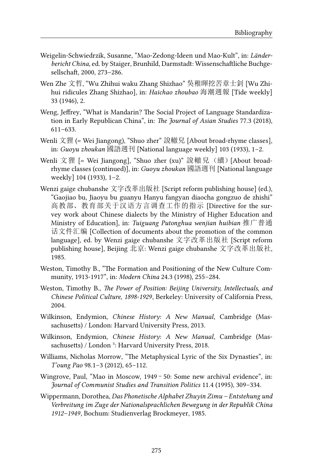- Weigelin-Schwiedrzik, Susanne, "Mao-Zedong-Ideen und Mao-Kult", in: *Länderbericht China*, ed. by Staiger, Brunhild, Darmstadt: Wissenschaftliche Buchgesellschaft, 2000, 273–286.
- Wen Zhe 文哲, "Wu Zhihui waku Zhang Shizhao" 吳稚暉挖苦章士釗 [Wu Zhihui ridicules Zhang Shizhao], in: *Haichao zhoubao* 海潮週報 [Tide weekly] 33 (1946), 2.
- Weng, Jeffrey, "What is Mandarin? The Social Project of Language Standardization in Early Republican China", in: *The Journal of Asian Studies* 77.3 (2018), 611–633.
- Wenli 文狸 (= Wei Jiangong), "Shuo zher" 說轍兒 [About broad-rhyme classes], in: *Guoyu zhoukan* 國語週刊 [National language weekly] 103 (1933), 1–2.
- Wenli 文狸 [= Wei Jiangong], "Shuo zher (xu)" 說轍兒(續) [About broadrhyme classes (continued)], in: *Guoyu zhoukan* 國語週刊 [National language weekly] 104 (1933), 1–2.
- Wenzi gaige chubanshe 文字改革出版社 [Script reform publishing house] (ed.), "Gaojiao bu, Jiaoyu bu guanyu Hanyu fangyan diaocha gongzuo de zhishi" 高教部、教育部关于汉语方言调查工作的指示 [Directive for the survey work about Chinese dialects by the Ministry of Higher Education and Ministry of Education], in: *Tuiguang Putonghua wenjian huibian* 推广普通 话文件汇编 [Collection of documents about the promotion of the common language], ed. by Wenzi gaige chubanshe 文字改革出版社 [Script reform publishing house], Beijing 北京: Wenzi gaige chubanshe 文字改革出版社, 1985.
- Weston, Timothy B., "The Formation and Positioning of the New Culture Community, 1913-1917", in: *Modern China* 24.3 (1998), 255–284.
- Weston, Timothy B., *The Power of Position: Beijing University, Intellectuals, and Chinese Political Culture, 1898-1929*, Berkeley: University of California Press, 2004.
- Wilkinson, Endymion, *Chinese History: A New Manual*, Cambridge (Massachusetts) / London: Harvard University Press, 2013.
- Wilkinson, Endymion, *Chinese History: A New Manual*, Cambridge (Massachusetts) / London<sup>5</sup>: Harvard University Press, 2018.
- Williams, Nicholas Morrow, "The Metaphysical Lyric of the Six Dynasties", in: *T'oung Pao* 98.1–3 (2012), 65–112.
- Wingrove, Paul, "Mao in Moscow, 1949–50: Some new archival evidence", in: *Journal of Communist Studies and Transition Politics* 11.4 (1995), 309–334.
- Wippermann, Dorothea, *Das Phonetische Alphabet Zhuyin Zimu Entstehung und Verbreitung im Zuge der Nationalsprachlichen Bewegung in der Republik China 1912–1949*, Bochum: Studienverlag Brockmeyer, 1985.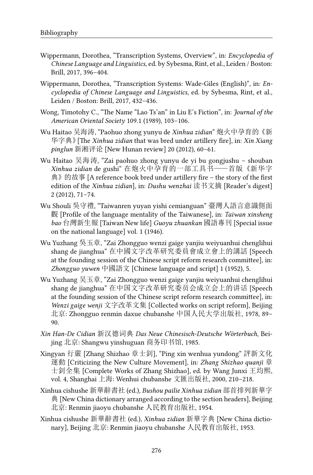- Wippermann, Dorothea, "Transcription Systems, Overview", in: *Encyclopedia of Chinese Language and Linguistics*, ed. by Sybesma, Rint, et al., Leiden / Boston: Brill, 2017, 396–404.
- Wippermann, Dorothea, "Transcription Systems: Wade-Giles (English)", in: *Encyclopedia of Chinese Language and Linguistics*, ed. by Sybesma, Rint, et al., Leiden / Boston: Brill, 2017, 432–436.
- Wong, Timotohy C., "The Name "Lao Ts'an" in Liu E's Fiction", in: *Journal of the American Oriental Society* 109.1 (1989), 103–106.
- Wu Haitao 吴海涛, "Paohuo zhong yunyu de *Xinhua zidian*" 炮火中孕育的《新 华字典》[The *Xinhua zidian* that was bred under artillery fire], in: *Xin Xiang pinglun* 新湘评论 [New Hunan review] 20 (2012), 60–61.
- Wu Haitao 吴海涛, "Zai paohuo zhong yunyu de yi bu gongjushu shouban *Xinhua zidian* de gushi" 在炮火中孕育的一部工具书——首版《新华字 典》的故事 [A reference book bred under artillery fire – the story of the first edition of the *Xinhua zidian*], in: *Dushu wenzhai* 读书文摘 [Reader's digest] 2 (2012), 71–74.
- Wu Shouli 吳守禮, "Taiwanren yuyan yishi cemianguan" 臺灣人語言意識側面 觀 [Profile of the language mentality of the Taiwanese], in: *Taiwan xinsheng bao* 台灣新生報 [Taiwan New life] *Guoyu zhuankan* 國語專刊 [Special issue on the national language] vol. 1 (1946).
- Wu Yuzhang 吳玉章, "Zai Zhongguo wenzi gaige yanjiu weiyuanhui chenglihui shang de jianghua" 在中國文字改革研究委員會成立會上的講話 [Speech at the founding session of the Chinese script reform research committee], in: *Zhongguo yuwen* 中國語文 [Chinese language and script] 1 (1952), 5.
- Wu Yuzhang 吴玉章, "Zai Zhongguo wenzi gaige yanjiu weiyuanhui chenglihui shang de jianghua" 在中国文字改革研究委员会成立会上的讲话 [Speech at the founding session of the Chinese script reform research committee], in: *Wenzi gaige wenji* 文字改革文集 [Collected works on script reform], Beijing 北京: Zhongguo renmin daxue chubanshe 中国人民大学出版社, 1978, 89– 90.
- *Xin Han-De Cidian* 新汉德词典 *Das Neue Chinesisch-Deutsche Wörterbuch*, Beijing 北京: Shangwu yinshuguan 商务印书馆, 1985.
- Xingyan 行嚴 [Zhang Shizhao 章士釗], "Ping xin wenhua yundong" 評新文化 運動 [Criticizing the New Culture Movement], in: *Zhang Shizhao quanji* 章 士釗全集 [Complete Works of Zhang Shizhao], ed. by Wang Junxi 王均熙, vol. 4, Shanghai 上海: Wenhui chubanshe 文匯出版社, 2000, 210–218.
- Xinhua cishushe 新華辭書社 (ed.), *Bushou pailie Xinhua zidian* 部首排列新華字 典 [New China dictionary arranged according to the section headers], Beijing 北京: Renmin jiaoyu chubanshe 人民教育出版社, 1954.
- Xinhua cishushe 新華辭書社 (ed.), *Xinhua zidian* 新華字典 [New China dictionary], Beijing 北京: Renmin jiaoyu chubanshe 人民教育出版社, 1953.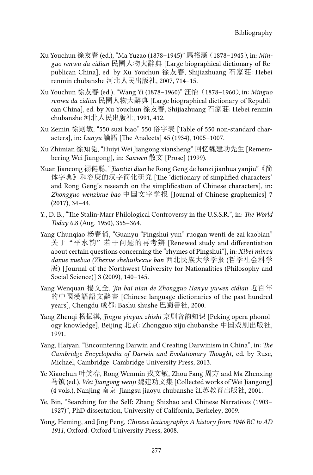- Xu Youchun 徐友春 (ed.), "Ma Yuzao (1878–1945)" 馬裕藻(1878–1945), in: *Minguo renwu da cidian* 民國人物大辭典 [Large biographical dictionary of Republican China], ed. by Xu Youchun 徐友春, Shijiazhuang 石家莊: Hebei renmin chubanshe 河北人民出版社, 2007, 714–15.
- Xu Youchun 徐友春 (ed.), "Wang Yi (1878–1960)" 汪怡(1878–1960), in: *Minguo renwu da cidian* 民國人物大辭典 [Large biographical dictionary of Republican China], ed. by Xu Youchun 徐友春, Shijiazhuang 石家莊: Hebei renmin chubanshe 河北人民出版社, 1991, 412.
- Xu Zemin 徐則敏, "550 suzi biao" 550 俗字表 [Table of 550 non-standard characters], in: *Lunyu* 論語 [The Analects] 45 (1934), 1005–1007.
- Xu Zhimian 徐知免, "Huiyi Wei Jiangong xiansheng" 回忆魏建功先生 [Remembering Wei Jiangong], in: *Sanwen* 散文 [Prose] (1999).
- Xuan Jiancong 禤健聪, "*Jiantizi dian* he Rong Geng de hanzi jianhua yanjiu"《简 体字典》和容庚的汉字简化研究 [The 'dictionary of simplified characters' and Rong Geng's research on the simplification of Chinese characters], in: *Zhongguo wenzixue bao* 中国文字学报 [Journal of Chinese graphemics] 7 (2017), 34–44.
- Y., D. B., "The Stalin-Marr Philological Controversy in the U.S.S.R.", in: *The World Today* 6.8 (Aug. 1950), 355–364.
- Yang Chunqiao 杨春俏, "Guanyu "Pingshui yun" ruogan wenti de zai kaobian" 关于"平水韵"若干问题的再考辨 [Renewed study and differentiation about certain questions concerning the "rhymes of Pingshui"], in: *Xibei minzu daxue xuebao (Zhexue shehuikexue ban* 西北民族大学学报 (哲学社会科学 版) [Journal of the Northwest University for Nationalities (Philosophy and Social Science)] 3 (2009), 140–145.
- Yang Wenquan 楊文全, *Jin bai nian de Zhongguo Hanyu yuwen cidian* 近百年 的中國漢語語文辭書 [Chinese language dictionaries of the past hundred years], Chengdu 成都: Bashu shushe 巴蜀書社, 2000.
- Yang Zhenqi 杨振淇, *Jingju yinyun zhishi* 京剧音韵知识 [Peking opera phonology knowledge], Beijing 北京: Zhongguo xiju chubanshe 中国戏剧出版社, 1991.
- Yang, Haiyan, "Encountering Darwin and Creating Darwinism in China", in: *The Cambridge Encyclopedia of Darwin and Evolutionary Thought*, ed. by Ruse, Michael, Cambridge: Cambridge University Press, 2013.
- Ye Xiaochun 叶笑春, Rong Wenmin 戎文敏, Zhou Fang 周方 and Ma Zhenxing 马镇 (ed.), *Wei Jiangong wenji* 魏建功文集 [Collected works of Wei Jiangong] (4 vols.), Nanjing 南京: Jiangsu jiaoyu chubanshe 江苏教育出版社, 2001.
- Ye, Bin, "Searching for the Self: Zhang Shizhao and Chinese Narratives (1903– 1927)", PhD dissertation, University of California, Berkeley, 2009.
- Yong, Heming, and Jing Peng, *Chinese lexicography: A history from 1046 BC to AD 1911*, Oxford: Oxford University Press, 2008.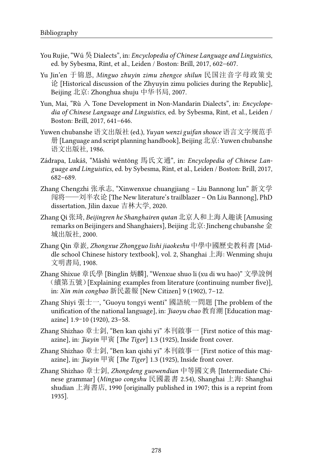- You Rujie, "Wú 吳 Dialects", in: *Encyclopedia of Chinese Language and Linguistics*, ed. by Sybesma, Rint, et al., Leiden / Boston: Brill, 2017, 602–607.
- Yu Jin'en 于锦恩, *Minguo zhuyin zimu zhengce shilun* 民国注音字母政策史 论 [Historical discussion of the Zhyuyin zimu policies during the Republic], Beijing 北京: Zhonghua shuju 中华书局, 2007.
- Yun, Mai, "Rù 入 Tone Development in Non-Mandarin Dialects", in: *Encyclopedia of Chinese Language and Linguistics*, ed. by Sybesma, Rint, et al., Leiden / Boston: Brill, 2017, 641–646.
- Yuwen chubanshe 语文出版社 (ed.), *Yuyan wenzi guifan shouce* 语言文字规范手 册 [Language and script planning handbook], Beijing 北京: Yuwen chubanshe 语文出版社, 1986.
- Zádrapa, Lukáš, "Mǎshì wéntōng 馬氏文通", in: *Encyclopedia of Chinese Language and Linguistics*, ed. by Sybesma, Rint, et al., Leiden / Boston: Brill, 2017, 682–689.
- Zhang Chengzhi 张承志, "Xinwenxue chuangjiang Liu Bannong lun" 新文学 闯将——刘半农论 [The New literature's trailblazer – On Liu Bannong], PhD dissertation, Jilin daxue 吉林大学, 2020.
- Zhang Qi 张琦, *Beijingren he Shanghairen qutan* 北京人和上海人趣谈 [Amusing remarks on Beijingers and Shanghaiers], Beijing 北京: Jincheng chubanshe 金 城出版社, 2000.
- Zhang Qin 章嶔, *Zhongxue Zhongguo lishi jiaokeshu* 中學中國歷史教科書 [Middle school Chinese history textbook], vol. 2, Shanghai 上海: Wenming shuju 文明書局, 1908.
- Zhang Shixue 章氏學 [Binglin 炳麟], "Wenxue shuo li (xu di wu hao)" 文學說例 (續第五號)[Explaining examples from literature (continuing number five)], in: *Xin min congbao* 新民叢報 [New Citizen] 9 (1902), 7–12.
- Zhang Shiyi 張士一, "Guoyu tongyi wenti" 國語統一問題 [The problem of the unification of the national language], in: *Jiaoyu chao* 教育潮 [Education magazine] 1.9–10 (1920), 23–58.
- Zhang Shizhao 章士釗, "Ben kan qishi yi" 本刊啟事一 [First notice of this magazine], in: *Jiayin* 甲寅 [*The Tiger*] 1.3 (1925), Inside front cover.
- Zhang Shizhao 章士釗, "Ben kan qishi yi" 本刊啟事一 [First notice of this magazine], in: *Jiayin* 甲寅 [*The Tiger*] 1.3 (1925), Inside front cover.
- Zhang Shizhao 章士釗, *Zhongdeng guowendian* 中等國文典 [Intermediate Chinese grammar] (*Minguo congshu* 民國叢書 2.54), Shanghai 上海: Shanghai shudian 上海書店, 1990 [originally published in 1907; this is a reprint from 1935].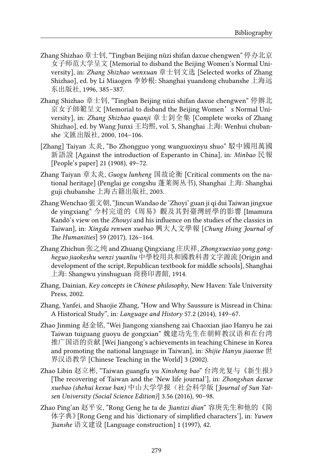- Zhang Shizhao 章士钊, "Tingban Beijing nüzi shifan daxue chengwen" 停办北京 女子师范大学呈文 [Memorial to disband the Beijing Women's Normal University], in: *Zhang Shizhao wenxuan* 章士钊文选 [Selected works of Zhang Shizhao], ed. by Li Miaogen 李妙根: Shanghai yuandong chubanshe 上海远 东出版社, 1996, 385–387.
- Zhang Shizhao 章士钊, "Tingban Beijing nüzi shifan daxue chengwen" 停辦北 京女子師範呈文 [Memorial to disband the Beijing Women's Normal University], in: *Zhang Shizhao quanji* 章士釗全集 [Complete works of Zhang Shizhao], ed. by Wang Junxi 王均熙, vol. 5, Shanghai 上海: Wenhui chubanshe 文匯出版社, 2000, 104–106.
- [Zhang] Taiyan 太炎, "Bo Zhongguo yong wanguoxinyu shuo" 駁中國用萬國 新語說 [Against the introduction of Esperanto in China], in: *Minbao* 民報 [People's paper] 21 (1908), 49–72.
- Zhang Taiyan 章太炎, *Guogu lunheng* 国故论衡 [Critical comments on the national heritage] (Penglai ge congshu 蓬莱阁丛书), Shanghai 上海: Shanghai guji chubanshe 上海古籍出版社, 2003.
- Zhang Wenchao 張文朝, "Jincun Wandao de 'Zhoyi' guan ji qi dui Taiwan jingxue de yingxiang" 今村完道的《周易》觀及其對臺灣經學的影響 [Imamura Kandō's view on the *Zhouyi* and his influence on the studies of the classics in Taiwan], in: *Xingda renwen xuebao* 興大人文學報 [*Chung Hsing Journal of The Humanities*] 59 (2017), 126–164.
- Zhang Zhichun 张之纯 and Zhuang Qingxiang 庄庆祥, *Zhongxuexiao yong gongheguo jiaokeshu wenzi yuanliu* 中學校用共和國教科書文字源流 [Origin and development of the script, Republican textbook for middle schools], Shanghai 上海: Shangwu yinshuguan 商務印書館, 1914.
- Zhang, Dainian, *Key concepts in Chinese philosophy*, New Haven: Yale University Press, 2002.
- Zhang, Yanfei, and Shaojie Zhang, "How and Why Saussure is Misread in China: A Historical Study", in: *Language and History* 57.2 (2014), 149–67.
- Zhao Jinming 赵金铭, "Wei Jiangong xiansheng zai Chaoxian jiao Hanyu he zai Taiwan tuiguang guoyu de gongxian" 魏建功先生在朝鲜教汉语和在台湾 推广国语的贡献 [Wei Jiangong's achievements in teaching Chinese in Korea and promoting the national language in Taiwan], in: *Shijie Hanyu jiaoxue* 世 界汉语教学 [Chinese Teaching in the World] 3 (2002).
- Zhao Libin 赵立彬, "Taiwan guangfu yu *Xinsheng bao*" 台湾光复与《新生报》 [The recovering of Taiwan and the 'New life journal'], in: *Zhongshan daxue xuebao (shehui kexue ban)* 中山大学学报(社会科学版 [*Journal of Sun Yatsen University (Social Science Edition)*] 3.56 (2016), 90–98.
- Zhao Ping'an 赵平安, "Rong Geng he ta de *Jiantizi dian*" 容庚先生和他的《简 体字典》[Rong Geng and his 'dictionary of simplified characters'], in: *Yuwen Jianshe* 语文建设 [Language construction] 1 (1997), 42.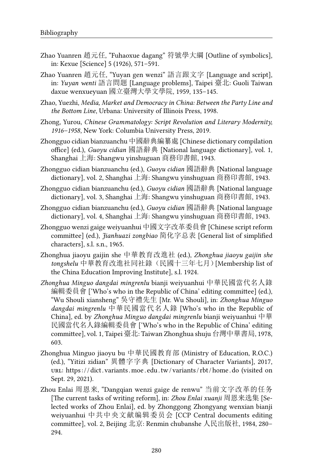- Zhao Yuanren 趙元任, "Fuhaoxue dagang" 符號學大綱 [Outline of symbolics], in: Kexue [Science] 5 (1926), 571–591.
- Zhao Yuanren 趙元任, "Yuyan gen wenzi" 語言跟文字 [Language and script], in: *Yuyan wenti* 語言問題 [Language problems], Taipei 臺北: Guoli Taiwan daxue wenxueyuan 國立臺灣大學文學院, 1959, 135–145.
- Zhao, Yuezhi, *Media, Market and Democracy in China: Between the Party Line and the Bottom Line*, Urbana: University of Illinois Press, 1998.
- Zhong, Yurou, *Chinese Grammatology: Script Revolution and Literary Modernity, 1916–1958*, New York: Columbia University Press, 2019.
- Zhongguo cidian bianzuanchu 中國辭典編纂處 [Chinese dictionary compilation office] (ed.), *Guoyu cidian* 國語辭典 [National language dictionary], vol. 1, Shanghai 上海: Shangwu yinshuguan 商務印書館, 1943.
- Zhongguo cidian bianzuanchu (ed.), *Guoyu cidian* 國語辭典 [National language dictionary], vol. 2, Shanghai 上海: Shangwu yinshuguan 商務印書館, 1943.
- Zhongguo cidian bianzuanchu (ed.), *Guoyu cidian* 國語辭典 [National language dictionary], vol. 3, Shanghai 上海: Shangwu yinshuguan 商務印書館, 1943.
- Zhongguo cidian bianzuanchu (ed.), *Guoyu cidian* 國語辭典 [National language dictionary], vol. 4, Shanghai 上海: Shangwu yinshuguan 商務印書館, 1943.
- Zhongguo wenzi gaige weiyuanhui 中國文字改革委員會 [Chinese script reform committee] (ed.), *Jianhuazi zongbiao* 简化字总表 [General list of simplified characters], s.l. s.n., 1965.
- Zhonghua jiaoyu gaijin she 中華教育改進社 (ed.), *Zhonghua jiaoyu gaijin she tongshelu* 中華教育改進社同社錄(民國十三年七月)[Membership list of the China Education Improving Institute], s.l. 1924.
- *Zhonghua Minguo dangdai mingrenlu* bianji weiyuanhui 中華民國當代名人錄 編輯委員會 ['Who's who in the Republic of China' editing committee] (ed.), "Wu Shouli xiansheng" 吳守禮先生 [Mr. Wu Shouli], in: *Zhonghua Minguo dangdai mingrenlu* 中華民國當代名人錄 [Who's who in the Republic of China], ed. by *Zhonghua Minguo dangdai mingrenlu* bianji weiyuanhui 中華 民國當代名人錄編輯委員會 ['Who's who in the Republic of China' editing committee], vol. 1, Taipei 臺北: Taiwan Zhonghua shuju 台灣中華書局, 1978, 603.
- Zhonghua Minguo jiaoyu bu 中華民國教育部 (Ministry of Education, R.O.C.) (ed.), "Yitizi zidian" 異體字字典 [Dictionary of Character Variants], 2017, url: [https : / / dict . variants .moe . edu . tw /variants / rbt / home . do](https://dict.variants.moe.edu.tw/variants/rbt/home.do) (visited on Sept. 29, 2021).
- Zhou Enlai 周恩来, "Dangqian wenzi gaige de renwu" 当前文字改革的任务 [The current tasks of writing reform], in: *Zhou Enlai xuanji* 周恩来选集 [Selected works of Zhou Enlai], ed. by Zhonggong Zhongyang wenxian bianji weiyuanhui 中共中央文献编辑委员会 [CCP Central documents editing committee], vol. 2, Beijing 北京: Renmin chubanshe 人民出版社, 1984, 280– 294.